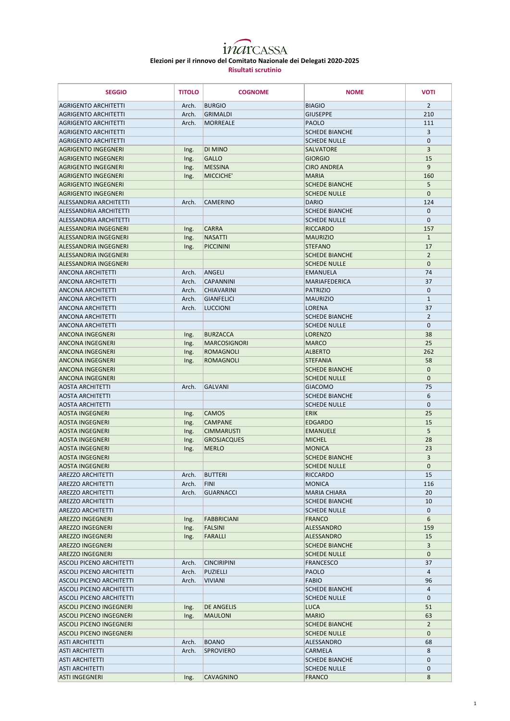| <b>SEGGIO</b>                                        | <b>TITOLO</b> | <b>COGNOME</b>      | <b>NOME</b>                                  | <b>VOTI</b>    |
|------------------------------------------------------|---------------|---------------------|----------------------------------------------|----------------|
| <b>AGRIGENTO ARCHITETTI</b>                          | Arch.         | <b>BURGIO</b>       | <b>BIAGIO</b>                                | $\overline{2}$ |
| <b>AGRIGENTO ARCHITETTI</b>                          | Arch.         | <b>GRIMALDI</b>     | <b>GIUSEPPE</b>                              | 210            |
| <b>AGRIGENTO ARCHITETTI</b>                          | Arch.         | <b>MORREALE</b>     | PAOLO                                        | 111            |
| <b>AGRIGENTO ARCHITETTI</b>                          |               |                     | <b>SCHEDE BIANCHE</b>                        | 3              |
| <b>AGRIGENTO ARCHITETTI</b>                          |               |                     | <b>SCHEDE NULLE</b>                          | $\mathbf 0$    |
| <b>AGRIGENTO INGEGNERI</b>                           | Ing.          | <b>DI MINO</b>      | <b>SALVATORE</b>                             | 3              |
| <b>AGRIGENTO INGEGNERI</b>                           | Ing.          | <b>GALLO</b>        | <b>GIORGIO</b>                               | 15             |
| <b>AGRIGENTO INGEGNERI</b>                           | Ing.          | <b>MESSINA</b>      | <b>CIRO ANDREA</b>                           | 9              |
| <b>AGRIGENTO INGEGNERI</b>                           | Ing.          | MICCICHE'           | <b>MARIA</b>                                 | 160            |
| <b>AGRIGENTO INGEGNERI</b>                           |               |                     | <b>SCHEDE BIANCHE</b>                        | 5              |
| <b>AGRIGENTO INGEGNERI</b>                           |               |                     | <b>SCHEDE NULLE</b>                          | $\mathbf{0}$   |
| ALESSANDRIA ARCHITETTI                               | Arch.         | <b>CAMERINO</b>     | <b>DARIO</b>                                 | 124            |
| ALESSANDRIA ARCHITETTI                               |               |                     | <b>SCHEDE BIANCHE</b>                        | $\mathbf{0}$   |
| <b>ALESSANDRIA ARCHITETTI</b>                        |               |                     | <b>SCHEDE NULLE</b>                          | $\mathbf 0$    |
| <b>ALESSANDRIA INGEGNERI</b>                         | Ing.          | <b>CARRA</b>        | <b>RICCARDO</b>                              | 157            |
| <b>ALESSANDRIA INGEGNERI</b>                         | Ing.          | <b>NASATTI</b>      | <b>MAURIZIO</b>                              | $\mathbf{1}$   |
| <b>ALESSANDRIA INGEGNERI</b>                         | Ing.          | PICCININI           | <b>STEFANO</b>                               | 17             |
| ALFSSANDRIA INGFGNFRI                                |               |                     | <b>SCHEDE BIANCHE</b>                        | $\overline{2}$ |
| ALESSANDRIA INGEGNERI                                |               |                     | <b>SCHEDE NULLE</b>                          | $\mathbf{0}$   |
| <b>ANCONA ARCHITETTI</b>                             | Arch.         | ANGELI              | <b>EMANUELA</b>                              | 74             |
| <b>ANCONA ARCHITETTI</b>                             | Arch.         | <b>CAPANNINI</b>    | <b>MARIAFEDERICA</b>                         | 37             |
| <b>ANCONA ARCHITETTI</b>                             | Arch.         | <b>CHIAVARINI</b>   | <b>PATRIZIO</b>                              | $\mathbf 0$    |
| <b>ANCONA ARCHITETTI</b>                             | Arch.         | <b>GIANFELICI</b>   | <b>MAURIZIO</b>                              | $\mathbf{1}$   |
| <b>ANCONA ARCHITETTI</b>                             | Arch.         | <b>LUCCIONI</b>     | <b>LORENA</b>                                | 37             |
| <b>ANCONA ARCHITETTI</b>                             |               |                     | <b>SCHEDE BIANCHE</b>                        | $\overline{2}$ |
| <b>ANCONA ARCHITETTI</b>                             |               |                     | <b>SCHEDE NULLE</b>                          | $\mathbf{0}$   |
| <b>ANCONA INGEGNERI</b>                              | Ing.          | <b>BURZACCA</b>     | <b>LORENZO</b>                               | 38             |
| <b>ANCONA INGEGNERI</b>                              | Ing.          | <b>MARCOSIGNORI</b> | <b>MARCO</b>                                 | 25             |
| ANCONA INGEGNERI                                     | Ing.          | <b>ROMAGNOLI</b>    | <b>ALBERTO</b>                               | 262            |
| <b>ANCONA INGEGNERI</b>                              | Ing.          | <b>ROMAGNOLI</b>    | <b>STEFANIA</b>                              | 58             |
| <b>ANCONA INGEGNERI</b>                              |               |                     | <b>SCHEDE BIANCHE</b>                        | $\mathbf{0}$   |
| <b>ANCONA INGEGNERI</b>                              |               |                     | <b>SCHEDE NULLE</b>                          | $\mathbf 0$    |
| <b>AOSTA ARCHITETTI</b>                              | Arch.         | <b>GALVANI</b>      | <b>GIACOMO</b>                               | 75             |
| <b>AOSTA ARCHITETTI</b>                              |               |                     | <b>SCHEDE BIANCHE</b>                        | 6              |
| <b>AOSTA ARCHITETTI</b>                              |               |                     | <b>SCHEDE NULLE</b>                          | $\mathbf{0}$   |
| AOSTA INGEGNERI                                      | Ing.          | <b>CAMOS</b>        | <b>ERIK</b>                                  | 25             |
| <b>AOSTA INGEGNERI</b>                               | Ing.          | <b>CAMPANE</b>      | <b>EDGARDO</b>                               | 15             |
| <b>AOSTA INGEGNERI</b>                               | Ing.          | <b>CIMMARUSTI</b>   | <b>EMANUELE</b>                              | 5              |
| <b>AOSTA INGEGNERI</b>                               | Ing.          | <b>GROSJACQUES</b>  | <b>MICHEL</b>                                | 28             |
| <b>AOSTA INGEGNERI</b>                               | Ing.          | <b>MERLO</b>        | <b>MONICA</b>                                | 23             |
| AOSTA INGEGNERI                                      |               |                     | <b>SCHEDE BIANCHE</b>                        | 3              |
| <b>AOSTA INGEGNERI</b>                               |               |                     | <b>SCHEDE NULLE</b>                          | $\mathbf{0}$   |
| <b>AREZZO ARCHITETTI</b>                             | Arch.         | <b>BUTTERI</b>      | <b>RICCARDO</b>                              | 15             |
| <b>AREZZO ARCHITETTI</b>                             | Arch.         | <b>FINI</b>         | <b>MONICA</b>                                | 116            |
|                                                      | Arch.         |                     |                                              |                |
| <b>AREZZO ARCHITETTI</b><br><b>AREZZO ARCHITETTI</b> |               | <b>GUARNACCI</b>    | <b>MARIA CHIARA</b><br><b>SCHEDE BIANCHE</b> | 20<br>10       |
| <b>AREZZO ARCHITETTI</b>                             |               |                     | <b>SCHEDE NULLE</b>                          | $\mathbf{0}$   |
|                                                      |               | <b>FABBRICIANI</b>  |                                              | 6              |
| <b>AREZZO INGEGNERI</b><br><b>AREZZO INGEGNERI</b>   | Ing.          | <b>FALSINI</b>      | <b>FRANCO</b>                                | 159            |
|                                                      | Ing.          |                     | <b>ALESSANDRO</b>                            |                |
| <b>AREZZO INGEGNERI</b>                              | Ing.          | <b>FARALLI</b>      | <b>ALESSANDRO</b>                            | 15             |
| <b>AREZZO INGEGNERI</b>                              |               |                     | <b>SCHEDE BIANCHE</b>                        | $\overline{3}$ |
| <b>AREZZO INGEGNERI</b>                              |               |                     | <b>SCHEDE NULLE</b>                          | $\mathbf{0}$   |
| <b>ASCOLI PICENO ARCHITETTI</b>                      | Arch.         | <b>CINCIRIPINI</b>  | <b>FRANCESCO</b>                             | 37             |
| <b>ASCOLI PICENO ARCHITETTI</b>                      | Arch.         | PUZIELLI            | PAOLO                                        | 4              |
| <b>ASCOLI PICENO ARCHITETTI</b>                      | Arch.         | <b>VIVIANI</b>      | <b>FABIO</b>                                 | 96             |
| <b>ASCOLI PICENO ARCHITETTI</b>                      |               |                     | <b>SCHEDE BIANCHE</b>                        | 4              |
| <b>ASCOLI PICENO ARCHITETTI</b>                      |               |                     | <b>SCHEDE NULLE</b>                          | $\mathbf{0}$   |
| <b>ASCOLI PICENO INGEGNERI</b>                       | Ing.          | <b>DE ANGELIS</b>   | <b>LUCA</b>                                  | 51             |
| <b>ASCOLI PICENO INGEGNERI</b>                       | Ing.          | <b>MAULONI</b>      | <b>MARIO</b>                                 | 63             |
| <b>ASCOLI PICENO INGEGNERI</b>                       |               |                     | <b>SCHEDE BIANCHE</b>                        | $\overline{2}$ |
| <b>ASCOLI PICENO INGEGNERI</b>                       |               |                     | <b>SCHEDE NULLE</b>                          | $\mathbf 0$    |
| <b>ASTI ARCHITETTI</b>                               | Arch.         | <b>BOANO</b>        | <b>ALESSANDRO</b>                            | 68             |
| <b>ASTI ARCHITETTI</b>                               | Arch.         | <b>SPROVIERO</b>    | <b>CARMELA</b>                               | 8              |
| <b>ASTI ARCHITETTI</b>                               |               |                     | <b>SCHEDE BIANCHE</b>                        | $\mathbf 0$    |
| <b>ASTI ARCHITETTI</b>                               |               |                     | <b>SCHEDE NULLE</b>                          | $\mathbf 0$    |
| <b>ASTI INGEGNERI</b>                                | Ing.          | <b>CAVAGNINO</b>    | <b>FRANCO</b>                                | 8              |

## inarcassa **Elezioni per il rinnovo del Comitato Nazionale dei Delegati 2020-2025 Risultati scrutinio**

1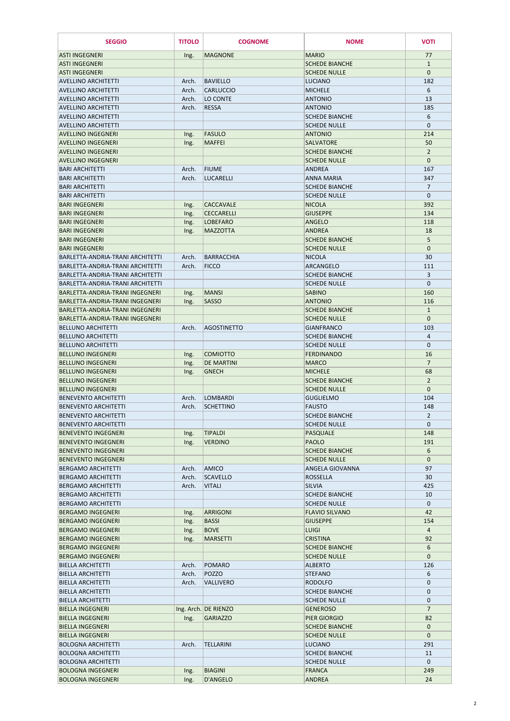| <b>SEGGIO</b>                                                        | <b>TITOLO</b>  | <b>COGNOME</b>                  | <b>NOME</b>                                  | <b>VOTI</b>         |
|----------------------------------------------------------------------|----------------|---------------------------------|----------------------------------------------|---------------------|
| <b>ASTI INGEGNERI</b>                                                | Ing.           | <b>MAGNONE</b>                  | <b>MARIO</b>                                 | 77                  |
| <b>ASTI INGEGNERI</b>                                                |                |                                 | <b>SCHEDE BIANCHE</b>                        | $\mathbf{1}$        |
| <b>ASTI INGEGNERI</b>                                                |                |                                 | <b>SCHEDE NULLE</b>                          | $\mathbf{0}$        |
| <b>AVELLINO ARCHITETTI</b>                                           | Arch.          | <b>BAVIELLO</b>                 | <b>LUCIANO</b>                               | 182                 |
| <b>AVELLINO ARCHITETTI</b>                                           | Arch.          | <b>CARLUCCIO</b>                | <b>MICHELE</b>                               | 6                   |
| <b>AVELLINO ARCHITETTI</b>                                           | Arch.          | LO CONTE                        | <b>ANTONIO</b>                               | 13                  |
| <b>AVELLINO ARCHITETTI</b>                                           | Arch.          | <b>RESSA</b>                    | <b>ANTONIO</b>                               | 185                 |
| <b>AVELLINO ARCHITETTI</b>                                           |                |                                 | <b>SCHEDE BIANCHE</b>                        | 6                   |
| <b>AVELLINO ARCHITETTI</b>                                           |                |                                 | <b>SCHEDE NULLE</b>                          | $\mathbf{0}$        |
| <b>AVELLINO INGEGNERI</b><br><b>AVELLINO INGEGNERI</b>               | Ing.           | <b>FASULO</b><br><b>MAFFEI</b>  | <b>ANTONIO</b><br><b>SALVATORE</b>           | 214<br>50           |
| <b>AVELLINO INGEGNERI</b>                                            | Ing.           |                                 | <b>SCHEDE BIANCHE</b>                        | $\overline{2}$      |
| <b>AVELLINO INGEGNERI</b>                                            |                |                                 | <b>SCHEDE NULLE</b>                          | $\mathbf{0}$        |
| <b>BARI ARCHITETTI</b>                                               | Arch.          | <b>FIUME</b>                    | <b>ANDREA</b>                                | 167                 |
| <b>BARI ARCHITETTI</b>                                               | Arch.          | <b>LUCARELLI</b>                | ANNA MARIA                                   | 347                 |
| <b>BARI ARCHITETTI</b>                                               |                |                                 | <b>SCHEDE BIANCHE</b>                        | $\overline{7}$      |
| <b>BARI ARCHITETTI</b>                                               |                |                                 | <b>SCHEDE NULLE</b>                          | $\mathbf 0$         |
| <b>BARI INGEGNERI</b>                                                | Ing.           | <b>CACCAVALE</b>                | <b>NICOLA</b>                                | 392                 |
| <b>BARI INGEGNERI</b>                                                | Ing.           | <b>CECCARELLI</b>               | <b>GIUSEPPE</b>                              | 134                 |
| <b>BARI INGEGNERI</b>                                                | Ing.           | <b>LOBEFARO</b>                 | <b>ANGELO</b>                                | 118                 |
| <b>BARI INGEGNERI</b>                                                | Ing.           | <b>MAZZOTTA</b>                 | <b>ANDREA</b>                                | 18                  |
| <b>BARI INGEGNERI</b>                                                |                |                                 | <b>SCHEDE BIANCHE</b>                        | 5                   |
| <b>BARI INGEGNERI</b>                                                |                |                                 | <b>SCHEDE NULLE</b>                          | $\mathbf{0}$        |
| BARLETTA-ANDRIA-TRANI ARCHITETTI<br>BARLETTA-ANDRIA-TRANI ARCHITETTI | Arch.          | <b>BARRACCHIA</b>               | <b>NICOLA</b>                                | 30                  |
| BARLETTA-ANDRIA-TRANI ARCHITETTI                                     | Arch.          | <b>FICCO</b>                    | <b>ARCANGELO</b><br><b>SCHEDE BIANCHE</b>    | 111<br>3            |
| BARLETTA-ANDRIA-TRANI ARCHITETTI                                     |                |                                 | <b>SCHEDE NULLE</b>                          | $\mathbf{0}$        |
| BARLETTA-ANDRIA-TRANI INGEGNERI                                      | Ing.           | <b>MANSI</b>                    | <b>SABINO</b>                                | 160                 |
| BARLETTA-ANDRIA-TRANI INGEGNERI                                      | Ing.           | <b>SASSO</b>                    | <b>ANTONIO</b>                               | 116                 |
| BARLETTA-ANDRIA-TRANI INGEGNERI                                      |                |                                 | <b>SCHEDE BIANCHE</b>                        | $\mathbf{1}$        |
| BARLETTA-ANDRIA-TRANI INGEGNERI                                      |                |                                 | <b>SCHEDE NULLE</b>                          | $\mathbf{0}$        |
| <b>BELLUNO ARCHITETTI</b>                                            | Arch.          | <b>AGOSTINETTO</b>              | <b>GIANFRANCO</b>                            | 103                 |
| <b>BELLUNO ARCHITETTI</b>                                            |                |                                 | <b>SCHEDE BIANCHE</b>                        | 4                   |
| <b>BELLUNO ARCHITETTI</b>                                            |                |                                 | <b>SCHEDE NULLE</b>                          | $\mathbf 0$         |
| <b>BELLUNO INGEGNERI</b>                                             | Ing.           | <b>COMIOTTO</b>                 | <b>FERDINANDO</b>                            | 16                  |
| <b>BELLUNO INGEGNERI</b>                                             | Ing.           | <b>DE MARTINI</b>               | <b>MARCO</b>                                 | $\overline{7}$      |
| <b>BELLUNO INGEGNERI</b>                                             | Ing.           | <b>GNECH</b>                    | <b>MICHELE</b>                               | 68                  |
| <b>BELLUNO INGEGNERI</b>                                             |                |                                 | <b>SCHEDE BIANCHE</b>                        | $\overline{2}$      |
| <b>BELLUNO INGEGNERI</b><br><b>BENEVENTO ARCHITETTI</b>              |                |                                 | <b>SCHEDE NULLE</b><br><b>GUGLIELMO</b>      | $\mathbf{0}$<br>104 |
| <b>BENEVENTO ARCHITETTI</b>                                          | Arch.<br>Arch. | LOMBARDI<br><b>SCHETTINO</b>    | <b>FAUSTO</b>                                | 148                 |
| <b>BENEVENTO ARCHITETTI</b>                                          |                |                                 | <b>SCHEDE BIANCHE</b>                        | $\overline{2}$      |
| <b>BENEVENTO ARCHITETTI</b>                                          |                |                                 | <b>SCHEDE NULLE</b>                          | $\mathbf{0}$        |
| <b>BENEVENTO INGEGNERI</b>                                           | Ing.           | <b>TIPALDI</b>                  | <b>PASQUALE</b>                              | 148                 |
| <b>BENEVENTO INGEGNERI</b>                                           | Ing.           | <b>VERDINO</b>                  | <b>PAOLO</b>                                 | 191                 |
| <b>BENEVENTO INGEGNERI</b>                                           |                |                                 | <b>SCHEDE BIANCHE</b>                        | 6                   |
| <b>BENEVENTO INGEGNERI</b>                                           |                |                                 | <b>SCHEDE NULLE</b>                          | $\mathbf{0}$        |
| <b>BERGAMO ARCHITETTI</b>                                            | Arch.          | <b>AMICO</b>                    | <b>ANGELA GIOVANNA</b>                       | 97                  |
| <b>BERGAMO ARCHITETTI</b>                                            | Arch.          | <b>SCAVELLO</b>                 | <b>ROSSELLA</b>                              | 30                  |
| <b>BERGAMO ARCHITETTI</b>                                            | Arch.          | <b>VITALI</b>                   | <b>SILVIA</b>                                | 425                 |
| <b>BERGAMO ARCHITETTI</b>                                            |                |                                 | <b>SCHEDE BIANCHE</b>                        | 10                  |
| <b>BERGAMO ARCHITETTI</b><br><b>BERGAMO INGEGNERI</b>                |                |                                 | <b>SCHEDE NULLE</b><br><b>FLAVIO SILVANO</b> | $\mathbf 0$<br>42   |
| <b>BERGAMO INGEGNERI</b>                                             | Ing.<br>Ing.   | <b>ARRIGONI</b><br><b>BASSI</b> | <b>GIUSEPPE</b>                              | 154                 |
| <b>BERGAMO INGEGNERI</b>                                             | Ing.           | <b>BOVE</b>                     | <b>LUIGI</b>                                 | 4                   |
| <b>BERGAMO INGEGNERI</b>                                             | Ing.           | <b>MARSETTI</b>                 | <b>CRISTINA</b>                              | 92                  |
| <b>BERGAMO INGEGNERI</b>                                             |                |                                 | <b>SCHEDE BIANCHE</b>                        | 6                   |
| <b>BERGAMO INGEGNERI</b>                                             |                |                                 | <b>SCHEDE NULLE</b>                          | $\mathbf{0}$        |
| <b>BIELLA ARCHITETTI</b>                                             | Arch.          | POMARO                          | <b>ALBERTO</b>                               | 126                 |
| <b>BIELLA ARCHITETTI</b>                                             | Arch.          | POZZO                           | <b>STEFANO</b>                               | 6                   |
| <b>BIELLA ARCHITETTI</b>                                             | Arch.          | <b>VALLIVERO</b>                | <b>RODOLFO</b>                               | $\mathbf{0}$        |
| <b>BIELLA ARCHITETTI</b>                                             |                |                                 | <b>SCHEDE BIANCHE</b>                        | $\mathbf 0$         |
| <b>BIELLA ARCHITETTI</b>                                             |                |                                 | <b>SCHEDE NULLE</b>                          | $\mathbf{0}$        |
| <b>BIELLA INGEGNERI</b>                                              |                | Ing. Arch. DE RIENZO            | <b>GENEROSO</b>                              | $\overline{7}$      |
| <b>BIELLA INGEGNERI</b>                                              | Ing.           | <b>GARIAZZO</b>                 | PIER GIORGIO                                 | 82                  |
| <b>BIELLA INGEGNERI</b><br><b>BIELLA INGEGNERI</b>                   |                |                                 | <b>SCHEDE BIANCHE</b><br><b>SCHEDE NULLE</b> | $\mathbf{0}$        |
| <b>BOLOGNA ARCHITETTI</b>                                            | Arch.          | <b>TELLARINI</b>                | <b>LUCIANO</b>                               | $\mathbf{0}$<br>291 |
| <b>BOLOGNA ARCHITETTI</b>                                            |                |                                 | <b>SCHEDE BIANCHE</b>                        | 11                  |
| <b>BOLOGNA ARCHITETTI</b>                                            |                |                                 | <b>SCHEDE NULLE</b>                          | $\mathbf{0}$        |
| <b>BOLOGNA INGEGNERI</b>                                             | Ing.           | <b>BIAGINI</b>                  | <b>FRANCA</b>                                | 249                 |
| <b>BOLOGNA INGEGNERI</b>                                             | Ing.           | <b>D'ANGELO</b>                 | <b>ANDREA</b>                                | 24                  |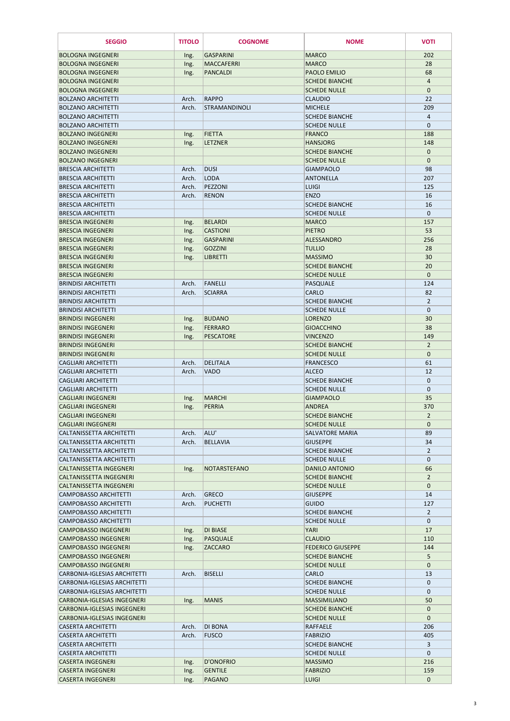| <b>SEGGIO</b>                                                | <b>TITOLO</b>  | <b>COGNOME</b>                       | <b>NOME</b>                              | <b>VOTI</b>                 |
|--------------------------------------------------------------|----------------|--------------------------------------|------------------------------------------|-----------------------------|
| <b>BOLOGNA INGEGNERI</b>                                     | Ing.           | <b>GASPARINI</b>                     | <b>MARCO</b>                             | 202                         |
| <b>BOLOGNA INGEGNERI</b>                                     | Ing.           | <b>MACCAFERRI</b>                    | <b>MARCO</b>                             | 28                          |
| <b>BOLOGNA INGEGNERI</b>                                     | Ing.           | <b>PANCALDI</b>                      | PAOLO EMILIO                             | 68                          |
| <b>BOLOGNA INGEGNERI</b>                                     |                |                                      | <b>SCHEDE BIANCHE</b>                    | $\overline{4}$              |
| <b>BOLOGNA INGEGNERI</b>                                     |                |                                      | <b>SCHEDE NULLE</b>                      | $\mathbf{0}$                |
| <b>BOLZANO ARCHITETTI</b><br><b>BOLZANO ARCHITETTI</b>       | Arch.<br>Arch. | <b>RAPPO</b><br><b>STRAMANDINOLI</b> | <b>CLAUDIO</b><br><b>MICHELE</b>         | 22<br>209                   |
| <b>BOLZANO ARCHITETTI</b>                                    |                |                                      | <b>SCHEDE BIANCHE</b>                    | $\overline{a}$              |
| <b>BOLZANO ARCHITETTI</b>                                    |                |                                      | <b>SCHEDE NULLE</b>                      | $\mathbf 0$                 |
| <b>BOLZANO INGEGNERI</b>                                     | Ing.           | <b>FIETTA</b>                        | <b>FRANCO</b>                            | 188                         |
| <b>BOLZANO INGEGNERI</b>                                     | Ing.           | <b>LETZNER</b>                       | <b>HANSJORG</b>                          | 148                         |
| <b>BOLZANO INGEGNERI</b>                                     |                |                                      | <b>SCHEDE BIANCHE</b>                    | $\mathbf{0}$                |
| <b>BOLZANO INGEGNERI</b>                                     |                |                                      | <b>SCHEDE NULLE</b>                      | $\mathbf{0}$                |
| <b>BRESCIA ARCHITETTI</b>                                    | Arch.          | <b>DUSI</b>                          | <b>GIAMPAOLO</b>                         | 98                          |
| <b>BRESCIA ARCHITETTI</b>                                    | Arch.          | <b>LODA</b>                          | <b>ANTONELLA</b>                         | 207                         |
| <b>BRESCIA ARCHITETTI</b>                                    | Arch.          | PEZZONI                              | <b>LUIGI</b>                             | 125                         |
| <b>BRESCIA ARCHITETTI</b>                                    | Arch.          | <b>RENON</b>                         | <b>ENZO</b>                              | 16                          |
| <b>BRESCIA ARCHITETTI</b>                                    |                |                                      | <b>SCHEDE BIANCHE</b>                    | 16                          |
| <b>BRESCIA ARCHITETTI</b>                                    |                |                                      | <b>SCHEDE NULLE</b>                      | $\mathbf{0}$                |
| <b>BRESCIA INGEGNERI</b><br><b>BRESCIA INGEGNERI</b>         | Ing.           | <b>BELARDI</b><br><b>CASTIONI</b>    | <b>MARCO</b><br><b>PIETRO</b>            | 157<br>53                   |
| <b>BRESCIA INGEGNERI</b>                                     | Ing.           | <b>GASPARINI</b>                     | <b>ALESSANDRO</b>                        | 256                         |
| <b>BRESCIA INGEGNERI</b>                                     | Ing.<br>Ing.   | <b>GOZZINI</b>                       | <b>TULLIO</b>                            | 28                          |
| <b>BRESCIA INGEGNERI</b>                                     | Ing.           | <b>LIBRETTI</b>                      | <b>MASSIMO</b>                           | 30                          |
| <b>BRESCIA INGEGNERI</b>                                     |                |                                      | <b>SCHEDE BIANCHE</b>                    | 20                          |
| <b>BRESCIA INGEGNERI</b>                                     |                |                                      | <b>SCHEDE NULLE</b>                      | $\mathbf{0}$                |
| <b>BRINDISI ARCHITETTI</b>                                   | Arch.          | FANELLI                              | PASQUALE                                 | 124                         |
| <b>BRINDISI ARCHITETTI</b>                                   | Arch.          | <b>SCIARRA</b>                       | <b>CARLO</b>                             | 82                          |
| <b>BRINDISI ARCHITETTI</b>                                   |                |                                      | <b>SCHEDE BIANCHE</b>                    | 2                           |
| <b>BRINDISI ARCHITETTI</b>                                   |                |                                      | <b>SCHEDE NULLE</b>                      | $\mathbf{0}$                |
| <b>BRINDISI INGEGNERI</b>                                    | Ing.           | <b>BUDANO</b>                        | <b>LORENZO</b>                           | 30                          |
| <b>BRINDISI INGEGNERI</b>                                    | Ing.           | FERRARO                              | <b>GIOACCHINO</b>                        | 38                          |
| <b>BRINDISI INGEGNERI</b>                                    | Ing.           | <b>PESCATORE</b>                     | <b>VINCENZO</b>                          | 149                         |
| <b>BRINDISI INGEGNERI</b>                                    |                |                                      | <b>SCHEDE BIANCHE</b>                    | $\overline{2}$              |
| <b>BRINDISI INGEGNERI</b>                                    |                |                                      | <b>SCHEDE NULLE</b>                      | $\mathbf{0}$                |
| <b>CAGLIARI ARCHITETTI</b>                                   | Arch.          | <b>DELITALA</b>                      | <b>FRANCESCO</b>                         | 61                          |
| <b>CAGLIARI ARCHITETTI</b><br><b>CAGLIARI ARCHITETTI</b>     | Arch.          | <b>VADO</b>                          | <b>ALCEO</b><br><b>SCHEDE BIANCHE</b>    | 12                          |
| <b>CAGLIARI ARCHITETTI</b>                                   |                |                                      | <b>SCHEDE NULLE</b>                      | $\mathbf 0$<br>$\mathbf{0}$ |
| <b>CAGLIARI INGEGNERI</b>                                    | Ing.           | MARCHI                               | <b>GIAMPAOLO</b>                         | 35                          |
| <b>CAGLIARI INGEGNERI</b>                                    | Ing.           | PERRIA                               | <b>ANDREA</b>                            | 370                         |
| CAGLIARI INGEGNERI                                           |                |                                      | <b>SCHEDE BIANCHE</b>                    | $\overline{2}$              |
| <b>CAGLIARI INGEGNERI</b>                                    |                |                                      | <b>SCHEDE NULLE</b>                      | $\mathbf{0}$                |
| CALTANISSETTA ARCHITETTI                                     | Arch.          | ALU'                                 | <b>SALVATORE MARIA</b>                   | 89                          |
| <b>CALTANISSETTA ARCHITETTI</b>                              | Arch.          | <b>BELLAVIA</b>                      | <b>GIUSEPPE</b>                          | 34                          |
| CALTANISSETTA ARCHITETTI                                     |                |                                      | <b>SCHEDE BIANCHE</b>                    | $\overline{2}$              |
| <b>CALTANISSETTA ARCHITETTI</b>                              |                |                                      | <b>SCHEDE NULLE</b>                      | $\mathbf{0}$                |
| <b>CALTANISSETTA INGEGNERI</b>                               | Ing.           | NOTARSTEFANO                         | DANILO ANTONIO                           | 66                          |
| <b>CALTANISSETTA INGEGNERI</b>                               |                |                                      | <b>SCHEDE BIANCHE</b>                    | $\overline{2}$              |
| <b>CALTANISSETTA INGEGNERI</b>                               |                |                                      | <b>SCHEDE NULLE</b>                      | $\mathbf{0}$                |
| <b>CAMPOBASSO ARCHITETTI</b><br><b>CAMPOBASSO ARCHITETTI</b> | Arch.<br>Arch. | <b>GRECO</b><br><b>PUCHETTI</b>      | <b>GIUSEPPE</b><br><b>GUIDO</b>          | 14<br>127                   |
| <b>CAMPOBASSO ARCHITETTI</b>                                 |                |                                      | <b>SCHEDE BIANCHE</b>                    | $2^{\circ}$                 |
| <b>CAMPOBASSO ARCHITETTI</b>                                 |                |                                      | <b>SCHEDE NULLE</b>                      | $\mathbf 0$                 |
| <b>CAMPOBASSO INGEGNERI</b>                                  | Ing.           | <b>DI BIASE</b>                      | YARI                                     | 17                          |
| <b>CAMPOBASSO INGEGNERI</b>                                  | Ing.           | PASQUALE                             | <b>CLAUDIO</b>                           | 110                         |
| <b>CAMPOBASSO INGEGNERI</b>                                  | Ing.           | <b>ZACCARO</b>                       | <b>FEDERICO GIUSEPPE</b>                 | 144                         |
| <b>CAMPOBASSO INGEGNERI</b>                                  |                |                                      | <b>SCHEDE BIANCHE</b>                    | 5                           |
| <b>CAMPOBASSO INGEGNERI</b>                                  |                |                                      | <b>SCHEDE NULLE</b>                      | $\mathbf{0}$                |
| <b>CARBONIA-IGLESIAS ARCHITETTI</b>                          | Arch.          | <b>BISELLI</b>                       | <b>CARLO</b>                             | 13                          |
| CARBONIA-IGLESIAS ARCHITETTI                                 |                |                                      | <b>SCHEDE BIANCHE</b>                    | $\mathbf{0}$                |
| CARBONIA-IGLESIAS ARCHITETTI                                 |                |                                      | <b>SCHEDE NULLE</b>                      | $\mathbf 0$                 |
| <b>CARBONIA-IGLESIAS INGEGNERI</b>                           | Ing.           | <b>MANIS</b>                         | <b>MASSIMILIANO</b>                      | 50                          |
| CARBONIA-IGLESIAS INGEGNERI                                  |                |                                      | <b>SCHEDE BIANCHE</b>                    | $\mathbf{0}$                |
| <b>CARBONIA-IGLESIAS INGEGNERI</b>                           |                |                                      | <b>SCHEDE NULLE</b>                      | $\mathbf{0}$                |
| <b>CASERTA ARCHITETTI</b><br><b>CASERTA ARCHITETTI</b>       | Arch.          | <b>DI BONA</b><br><b>FUSCO</b>       | RAFFAELE                                 | 206<br>405                  |
| <b>CASERTA ARCHITETTI</b>                                    | Arch.          |                                      | <b>FABRIZIO</b><br><b>SCHEDE BIANCHE</b> | 3                           |
| <b>CASERTA ARCHITETTI</b>                                    |                |                                      | <b>SCHEDE NULLE</b>                      | $\mathbf{0}$                |
| <b>CASERTA INGEGNERI</b>                                     | Ing.           | <b>D'ONOFRIO</b>                     | <b>MASSIMO</b>                           | 216                         |
| <b>CASERTA INGEGNERI</b>                                     | Ing.           | <b>GENTILE</b>                       | <b>FABRIZIO</b>                          | 159                         |
| <b>CASERTA INGEGNERI</b>                                     | Ing.           | <b>PAGANO</b>                        | <b>LUIGI</b>                             | $\mathbf{0}$                |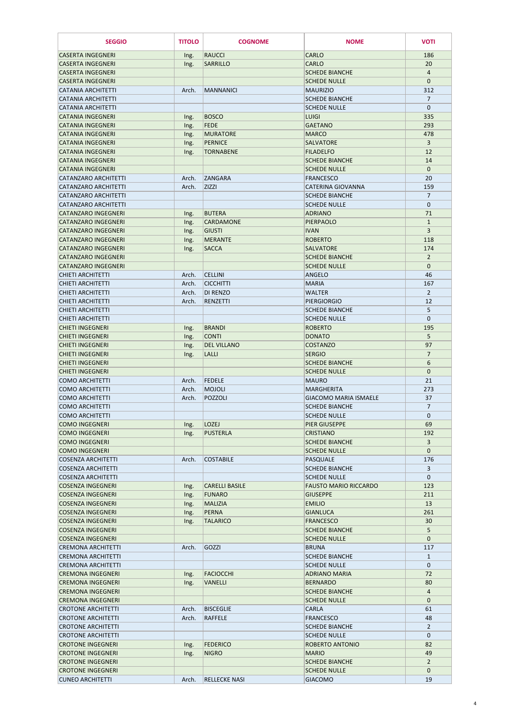| <b>SEGGIO</b>                                            | <b>TITOLO</b> | <b>COGNOME</b>                  | <b>NOME</b>                                         | <b>VOTI</b>                    |
|----------------------------------------------------------|---------------|---------------------------------|-----------------------------------------------------|--------------------------------|
| <b>CASERTA INGEGNERI</b>                                 | Ing.          | <b>RAUCCI</b>                   | <b>CARLO</b>                                        | 186                            |
| <b>CASERTA INGEGNERI</b>                                 | Ing.          | <b>SARRILLO</b>                 | <b>CARLO</b>                                        | 20                             |
| <b>CASERTA INGEGNERI</b>                                 |               |                                 | <b>SCHEDE BIANCHE</b>                               | 4                              |
| <b>CASERTA INGEGNERI</b>                                 |               |                                 | <b>SCHEDE NULLE</b>                                 | $\mathbf{0}$                   |
| <b>CATANIA ARCHITETTI</b>                                | Arch.         | <b>MANNANICI</b>                | <b>MAURIZIO</b>                                     | 312                            |
| <b>CATANIA ARCHITETTI</b><br><b>CATANIA ARCHITETTI</b>   |               |                                 | <b>SCHEDE BIANCHE</b><br><b>SCHEDE NULLE</b>        | $\overline{7}$<br>$\mathbf{0}$ |
| <b>CATANIA INGEGNERI</b>                                 | Ing.          | <b>BOSCO</b>                    | <b>LUIGI</b>                                        | 335                            |
| <b>CATANIA INGEGNERI</b>                                 | Ing.          | <b>FEDE</b>                     | <b>GAETANO</b>                                      | 293                            |
| <b>CATANIA INGEGNERI</b>                                 | Ing.          | <b>MURATORE</b>                 | <b>MARCO</b>                                        | 478                            |
| <b>CATANIA INGEGNERI</b>                                 | Ing.          | PERNICE                         | <b>SALVATORE</b>                                    | $\overline{3}$                 |
| <b>CATANIA INGEGNERI</b>                                 | Ing.          | <b>TORNABENE</b>                | <b>FILADELFO</b>                                    | 12                             |
| <b>CATANIA INGEGNERI</b>                                 |               |                                 | <b>SCHEDE BIANCHE</b>                               | 14                             |
| <b>CATANIA INGEGNERI</b>                                 |               |                                 | <b>SCHEDE NULLE</b>                                 | $\mathbf{0}$                   |
| <b>CATANZARO ARCHITETTI</b>                              | Arch.         | <b>ZANGARA</b>                  | <b>FRANCESCO</b>                                    | 20                             |
| <b>CATANZARO ARCHITETTI</b>                              | Arch.         | <b>ZIZZI</b>                    | <b>CATERINA GIOVANNA</b>                            | 159                            |
| <b>CATANZARO ARCHITETTI</b>                              |               |                                 | <b>SCHEDE BIANCHE</b>                               | $\overline{7}$                 |
| <b>CATANZARO ARCHITETTI</b>                              |               |                                 | <b>SCHEDE NULLE</b>                                 | $\mathbf{0}$                   |
| <b>CATANZARO INGEGNERI</b>                               | Ing.          | <b>BUTERA</b>                   | <b>ADRIANO</b>                                      | 71                             |
| <b>CATANZARO INGEGNERI</b>                               | Ing.          | <b>CARDAMONE</b>                | PIERPAOLO                                           | $\mathbf{1}$<br>$\overline{3}$ |
| <b>CATANZARO INGEGNERI</b><br><b>CATANZARO INGEGNERI</b> | Ing.<br>Ing.  | <b>GIUSTI</b><br><b>MERANTE</b> | <b>IVAN</b><br><b>ROBERTO</b>                       | 118                            |
| <b>CATANZARO INGEGNERI</b>                               | Ing.          | <b>SACCA</b>                    | <b>SALVATORE</b>                                    | 174                            |
| <b>CATANZARO INGEGNERI</b>                               |               |                                 | <b>SCHEDE BIANCHE</b>                               | $\overline{2}$                 |
| <b>CATANZARO INGEGNERI</b>                               |               |                                 | <b>SCHEDE NULLE</b>                                 | $\mathbf{0}$                   |
| <b>CHIETI ARCHITETTI</b>                                 | Arch.         | <b>CELLINI</b>                  | <b>ANGELO</b>                                       | 46                             |
| <b>CHIETI ARCHITETTI</b>                                 | Arch.         | <b>CICCHITTI</b>                | <b>MARIA</b>                                        | 167                            |
| <b>CHIETI ARCHITETTI</b>                                 | Arch.         | <b>DI RENZO</b>                 | <b>WALTER</b>                                       | 2                              |
| <b>CHIETI ARCHITETTI</b>                                 | Arch.         | RENZETTI                        | PIFRGIORGIO                                         | 12                             |
| CHIETI ARCHITETTI                                        |               |                                 | <b>SCHEDE BIANCHE</b>                               | 5                              |
| <b>CHIETI ARCHITETTI</b>                                 |               |                                 | <b>SCHEDE NULLE</b>                                 | $\mathbf{0}$                   |
| <b>CHIETI INGEGNERI</b>                                  | Ing.          | <b>BRANDI</b>                   | <b>ROBERTO</b>                                      | 195                            |
| <b>CHIETI INGEGNERI</b>                                  | Ing.          | <b>CONTI</b>                    | <b>DONATO</b>                                       | 5 <sup>5</sup>                 |
| <b>CHIETI INGEGNERI</b>                                  | Ing.          | <b>DEL VILLANO</b>              | <b>COSTANZO</b>                                     | 97                             |
| <b>CHIETI INGEGNERI</b><br><b>CHIETI INGEGNERI</b>       | Ing.          | <b>LALLI</b>                    | <b>SERGIO</b>                                       | $\overline{7}$                 |
| <b>CHIETI INGEGNERI</b>                                  |               |                                 | <b>SCHEDE BIANCHE</b><br><b>SCHEDE NULLE</b>        | 6<br>$\mathbf{0}$              |
| <b>COMO ARCHITETTI</b>                                   | Arch.         | <b>FEDELE</b>                   | <b>MAURO</b>                                        | 21                             |
| <b>COMO ARCHITETTI</b>                                   | Arch.         | <b>MOJOLI</b>                   | <b>MARGHERITA</b>                                   | 273                            |
| <b>COMO ARCHITETTI</b>                                   | Arch.         | POZZOLI                         | <b>GIACOMO MARIA ISMAELE</b>                        | 37                             |
| <b>COMO ARCHITETTI</b>                                   |               |                                 | <b>SCHEDE BIANCHE</b>                               | $\overline{7}$                 |
| <b>COMO ARCHITETTI</b>                                   |               |                                 | <b>SCHEDE NULLE</b>                                 | $\mathbf 0$                    |
| <b>COMO INGEGNERI</b>                                    | Ing.          | <b>LOZEJ</b>                    | PIER GIUSEPPE                                       | 69                             |
| <b>COMO INGEGNERI</b>                                    | Ing.          | <b>PUSTERLA</b>                 | <b>CRISTIANO</b>                                    | 192                            |
| <b>COMO INGEGNERI</b>                                    |               |                                 | <b>SCHEDE BIANCHE</b>                               | 3                              |
| <b>COMO INGEGNERI</b>                                    |               |                                 | <b>SCHEDE NULLE</b>                                 | $\mathbf{0}$                   |
| <b>COSENZA ARCHITETTI</b>                                | Arch.         | <b>COSTABILE</b>                | <b>PASQUALE</b>                                     | 176                            |
| <b>COSENZA ARCHITETTI</b>                                |               |                                 | <b>SCHEDE BIANCHE</b>                               | 3                              |
| <b>COSENZA ARCHITETTI</b><br><b>COSENZA INGEGNERI</b>    |               | <b>CARELLI BASILE</b>           | <b>SCHEDE NULLE</b><br><b>FAUSTO MARIO RICCARDO</b> | $\mathbf{0}$<br>123            |
| <b>COSENZA INGEGNERI</b>                                 | Ing.<br>Ing.  | <b>FUNARO</b>                   | <b>GIUSEPPE</b>                                     | 211                            |
| <b>COSENZA INGEGNERI</b>                                 | Ing.          | <b>MALIZIA</b>                  | <b>EMILIO</b>                                       | 13                             |
| <b>COSENZA INGEGNERI</b>                                 | Ing.          | <b>PERNA</b>                    | <b>GIANLUCA</b>                                     | 261                            |
| <b>COSENZA INGEGNERI</b>                                 | Ing.          | <b>TALARICO</b>                 | <b>FRANCESCO</b>                                    | 30                             |
| <b>COSENZA INGEGNERI</b>                                 |               |                                 | <b>SCHEDE BIANCHE</b>                               | 5                              |
| <b>COSENZA INGEGNERI</b>                                 |               |                                 | <b>SCHEDE NULLE</b>                                 | $\mathbf{0}$                   |
| <b>CREMONA ARCHITETTI</b>                                | Arch.         | GOZZI                           | <b>BRUNA</b>                                        | 117                            |
| <b>CREMONA ARCHITETTI</b>                                |               |                                 | <b>SCHEDE BIANCHE</b>                               | $\mathbf{1}$                   |
| <b>CREMONA ARCHITETTI</b>                                |               |                                 | <b>SCHEDE NULLE</b>                                 | $\boldsymbol{0}$               |
| <b>CREMONA INGEGNERI</b>                                 | Ing.          | <b>FACIOCCHI</b>                | <b>ADRIANO MARIA</b>                                | 72                             |
| <b>CREMONA INGEGNERI</b>                                 | Ing.          | <b>VANELLI</b>                  | <b>BERNARDO</b>                                     | 80                             |
| <b>CREMONA INGEGNERI</b>                                 |               |                                 | <b>SCHEDE BIANCHE</b>                               | 4                              |
| <b>CREMONA INGEGNERI</b><br><b>CROTONE ARCHITETTI</b>    | Arch.         | <b>BISCEGLIE</b>                | <b>SCHEDE NULLE</b><br><b>CARLA</b>                 | $\mathbf{0}$<br>61             |
| <b>CROTONE ARCHITETTI</b>                                | Arch.         | <b>RAFFELE</b>                  | <b>FRANCESCO</b>                                    | 48                             |
| <b>CROTONE ARCHITETTI</b>                                |               |                                 | <b>SCHEDE BIANCHE</b>                               | $\overline{2}$                 |
| <b>CROTONE ARCHITETTI</b>                                |               |                                 | <b>SCHEDE NULLE</b>                                 | $\mathbf 0$                    |
| <b>CROTONE INGEGNERI</b>                                 | Ing.          | <b>FEDERICO</b>                 | <b>ROBERTO ANTONIO</b>                              | 82                             |
| <b>CROTONE INGEGNERI</b>                                 | Ing.          | <b>NIGRO</b>                    | <b>MARIO</b>                                        | 49                             |
| <b>CROTONE INGEGNERI</b>                                 |               |                                 | <b>SCHEDE BIANCHE</b>                               | $\overline{2}$                 |
| <b>CROTONE INGEGNERI</b>                                 |               |                                 | <b>SCHEDE NULLE</b>                                 | $\mathbf{0}$                   |
| <b>CUNEO ARCHITETTI</b>                                  | Arch.         | <b>RELLECKE NASI</b>            | <b>GIACOMO</b>                                      | 19                             |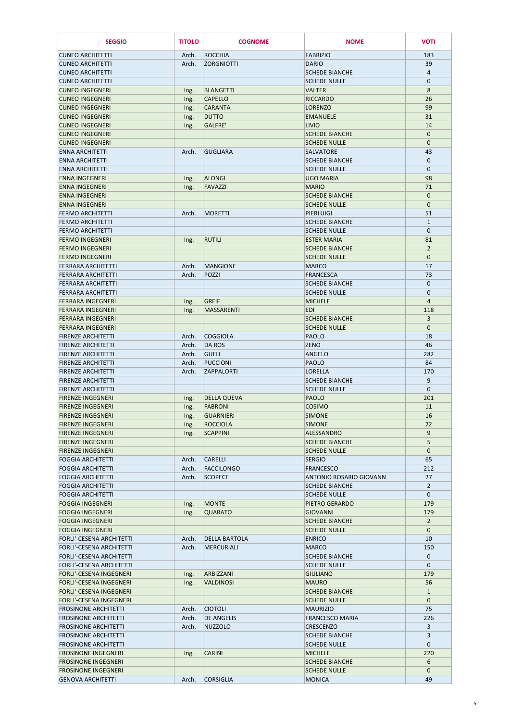| <b>SEGGIO</b>                                              | <b>TITOLO</b>  | <b>COGNOME</b>                   | <b>NOME</b>                                  | <b>VOTI</b>                 |
|------------------------------------------------------------|----------------|----------------------------------|----------------------------------------------|-----------------------------|
| <b>CUNEO ARCHITETTI</b>                                    | Arch.          | <b>ROCCHIA</b>                   | <b>FABRIZIO</b>                              | 183                         |
| <b>CUNEO ARCHITETTI</b>                                    | Arch.          | <b>ZORGNIOTTI</b>                | <b>DARIO</b>                                 | 39                          |
| <b>CUNEO ARCHITETTI</b>                                    |                |                                  | <b>SCHEDE BIANCHE</b>                        | $\overline{4}$              |
| <b>CUNEO ARCHITETTI</b>                                    |                |                                  | <b>SCHEDE NULLE</b>                          | $\pmb{0}$                   |
| <b>CUNEO INGEGNERI</b>                                     | Ing.           | <b>BLANGETTI</b>                 | <b>VALTER</b>                                | 8                           |
| <b>CUNEO INGEGNERI</b>                                     | Ing.           | <b>CAPELLO</b>                   | <b>RICCARDO</b>                              | 26                          |
| <b>CUNEO INGEGNERI</b>                                     | Ing.           | <b>CARANTA</b>                   | <b>LORENZO</b>                               | 99                          |
| <b>CUNEO INGEGNERI</b>                                     | Ing.           | <b>DUTTO</b>                     | <b>EMANUELE</b>                              | 31                          |
| <b>CUNEO INGEGNERI</b>                                     | Ing.           | <b>GALFRE'</b>                   | <b>LIVIO</b>                                 | 14                          |
| <b>CUNEO INGEGNERI</b><br><b>CUNEO INGEGNERI</b>           |                |                                  | <b>SCHEDE BIANCHE</b><br><b>SCHEDE NULLE</b> | $\mathbf 0$<br>$\mathbf{0}$ |
| <b>ENNA ARCHITETTI</b>                                     | Arch.          | <b>GUGLIARA</b>                  | <b>SALVATORE</b>                             | 43                          |
| <b>ENNA ARCHITETTI</b>                                     |                |                                  | <b>SCHEDE BIANCHE</b>                        | $\mathbf 0$                 |
| <b>ENNA ARCHITETTI</b>                                     |                |                                  | <b>SCHEDE NULLE</b>                          | $\mathbf 0$                 |
| <b>ENNA INGEGNERI</b>                                      | Ing.           | <b>ALONGI</b>                    | <b>UGO MARIA</b>                             | 98                          |
| <b>ENNA INGEGNERI</b>                                      | Ing.           | <b>FAVAZZI</b>                   | <b>MARIO</b>                                 | 71                          |
| <b>ENNA INGEGNERI</b>                                      |                |                                  | <b>SCHEDE BIANCHE</b>                        | $\mathbf{0}$                |
| <b>ENNA INGEGNERI</b>                                      |                |                                  | <b>SCHEDE NULLE</b>                          | $\mathbf{0}$                |
| <b>FERMO ARCHITETTI</b>                                    | Arch.          | <b>MORETTI</b>                   | PIERLUIGI                                    | 51                          |
| <b>FERMO ARCHITETTI</b>                                    |                |                                  | <b>SCHEDE BIANCHE</b>                        | $\mathbf{1}$                |
| <b>FERMO ARCHITETTI</b><br><b>FERMO INGEGNERI</b>          | Ing.           | <b>RUTILI</b>                    | <b>SCHEDE NULLE</b><br><b>ESTER MARIA</b>    | $\mathbf 0$<br>81           |
| <b>FERMO INGEGNERI</b>                                     |                |                                  | <b>SCHEDE BIANCHE</b>                        | $\overline{2}$              |
| <b>FERMO INGEGNERI</b>                                     |                |                                  | <b>SCHEDE NULLE</b>                          | $\mathbf 0$                 |
| <b>FERRARA ARCHITETTI</b>                                  | Arch.          | <b>MANGIONE</b>                  | <b>MARCO</b>                                 | 17                          |
| <b>FERRARA ARCHITETTI</b>                                  | Arch.          | <b>POZZI</b>                     | <b>FRANCESCA</b>                             | 73                          |
| <b>FERRARA ARCHITETTI</b>                                  |                |                                  | <b>SCHEDE BIANCHE</b>                        | $\mathbf 0$                 |
| <b>FERRARA ARCHITETTI</b>                                  |                |                                  | <b>SCHEDE NULLE</b>                          | 0                           |
| <b>FERRARA INGEGNERI</b>                                   | Ing.           | <b>GREIF</b>                     | <b>MICHELE</b>                               | $\overline{4}$              |
| <b>FERRARA INGEGNERI</b>                                   | Ing.           | <b>MASSARENTI</b>                | EDI                                          | 118                         |
| <b>FERRARA INGEGNERI</b>                                   |                |                                  | <b>SCHEDE BIANCHE</b>                        | 3                           |
| <b>FERRARA INGEGNERI</b>                                   |                |                                  | <b>SCHEDE NULLE</b>                          | $\mathbf{0}$                |
| <b>FIRENZE ARCHITETTI</b><br><b>FIRENZE ARCHITETTI</b>     | Arch.<br>Arch. | <b>COGGIOLA</b><br><b>DA ROS</b> | <b>PAOLO</b><br><b>ZENO</b>                  | 18<br>46                    |
| <b>FIRENZE ARCHITETTI</b>                                  | Arch.          | <b>GUELI</b>                     | <b>ANGELO</b>                                | 282                         |
| <b>FIRENZE ARCHITETTI</b>                                  | Arch.          | <b>PUCCIONI</b>                  | <b>PAOLO</b>                                 | 84                          |
| <b>FIRENZE ARCHITETTI</b>                                  | Arch.          | <b>ZAPPALORTI</b>                | <b>LORELLA</b>                               | 170                         |
| <b>FIRENZE ARCHITETTI</b>                                  |                |                                  | <b>SCHEDE BIANCHE</b>                        | 9                           |
| <b>FIRENZE ARCHITETTI</b>                                  |                |                                  | <b>SCHEDE NULLE</b>                          | $\mathbf 0$                 |
| <b>FIRENZE INGEGNERI</b>                                   | Ing.           | <b>DELLA QUEVA</b>               | <b>PAOLO</b>                                 | 201                         |
| <b>FIRENZE INGEGNERI</b>                                   | Ing.           | <b>FABRONI</b>                   | <b>COSIMO</b>                                | 11                          |
| <b>FIRENZE INGEGNERI</b>                                   | Ing.           | GUARNIERI                        | <b>SIMONE</b>                                | 16                          |
| <b>FIRENZE INGEGNERI</b>                                   | Ing.           | <b>ROCCIOLA</b>                  | <b>SIMONE</b><br><b>ALESSANDRO</b>           | 72                          |
| <b>FIRENZE INGEGNERI</b><br><b>FIRENZE INGEGNERI</b>       | Ing.           | <b>SCAPPINI</b>                  | <b>SCHEDE BIANCHE</b>                        | 9<br>5                      |
| <b>FIRENZE INGEGNERI</b>                                   |                |                                  | <b>SCHEDE NULLE</b>                          | $\mathbf{0}$                |
| <b>FOGGIA ARCHITETTI</b>                                   | Arch.          | <b>CARELLI</b>                   | <b>SERGIO</b>                                | 65                          |
| <b>FOGGIA ARCHITETTI</b>                                   | Arch.          | <b>FACCILONGO</b>                | <b>FRANCESCO</b>                             | 212                         |
| <b>FOGGIA ARCHITETTI</b>                                   | Arch.          | <b>SCOPECE</b>                   | <b>ANTONIO ROSARIO GIOVANN</b>               | 27                          |
| <b>FOGGIA ARCHITETTI</b>                                   |                |                                  | <b>SCHEDE BIANCHE</b>                        | $\overline{2}$              |
| <b>FOGGIA ARCHITETTI</b>                                   |                |                                  | <b>SCHEDE NULLE</b>                          | $\mathbf 0$                 |
| <b>FOGGIA INGEGNERI</b>                                    | Ing.           | <b>MONTE</b>                     | PIETRO GERARDO                               | 179                         |
| <b>FOGGIA INGEGNERI</b>                                    | Ing.           | <b>QUARATO</b>                   | <b>GIOVANNI</b>                              | 179                         |
| <b>FOGGIA INGEGNERI</b>                                    |                |                                  | <b>SCHEDE BIANCHE</b>                        | $\overline{2}$              |
| <b>FOGGIA INGEGNERI</b><br><b>FORLI'-CESENA ARCHITETTI</b> | Arch.          | <b>DELLA BARTOLA</b>             | <b>SCHEDE NULLE</b><br><b>ENRICO</b>         | $\mathbf 0$<br>10           |
| <b>FORLI'-CESENA ARCHITETTI</b>                            | Arch.          | <b>MERCURIALI</b>                | <b>MARCO</b>                                 | 150                         |
| <b>FORLI'-CESENA ARCHITETTI</b>                            |                |                                  | <b>SCHEDE BIANCHE</b>                        | $\mathbf 0$                 |
| <b>FORLI'-CESENA ARCHITETTI</b>                            |                |                                  | <b>SCHEDE NULLE</b>                          | 0                           |
| <b>FORLI'-CESENA INGEGNERI</b>                             | Ing.           | ARBIZZANI                        | <b>GIULIANO</b>                              | 179                         |
| <b>FORLI'-CESENA INGEGNERI</b>                             | Ing.           | <b>VALDINOSI</b>                 | <b>MAURO</b>                                 | 56                          |
| <b>FORLI'-CESENA INGEGNERI</b>                             |                |                                  | <b>SCHEDE BIANCHE</b>                        | $\mathbf{1}$                |
| <b>FORLI'-CESENA INGEGNERI</b>                             |                |                                  | <b>SCHEDE NULLE</b>                          | $\mathbf{0}$                |
| <b>FROSINONE ARCHITETTI</b>                                | Arch.          | <b>CIOTOLI</b>                   | <b>MAURIZIO</b>                              | 75                          |
| <b>FROSINONE ARCHITETTI</b>                                | Arch.          | <b>DE ANGELIS</b>                | <b>FRANCESCO MARIA</b>                       | 226                         |
| <b>FROSINONE ARCHITETTI</b>                                | Arch.          | <b>NUZZOLO</b>                   | <b>CRESCENZO</b>                             | 3                           |
| <b>FROSINONE ARCHITETTI</b><br><b>FROSINONE ARCHITETTI</b> |                |                                  | <b>SCHEDE BIANCHE</b><br><b>SCHEDE NULLE</b> | 3<br>$\mathbf 0$            |
| <b>FROSINONE INGEGNERI</b>                                 | Ing.           | <b>CARINI</b>                    | <b>MICHELE</b>                               | 220                         |
| <b>FROSINONE INGEGNERI</b>                                 |                |                                  | <b>SCHEDE BIANCHE</b>                        | 6                           |
| <b>FROSINONE INGEGNERI</b>                                 |                |                                  | <b>SCHEDE NULLE</b>                          | $\mathbf{0}$                |
| <b>GENOVA ARCHITETTI</b>                                   | Arch.          | <b>CORSIGLIA</b>                 | <b>MONICA</b>                                | 49                          |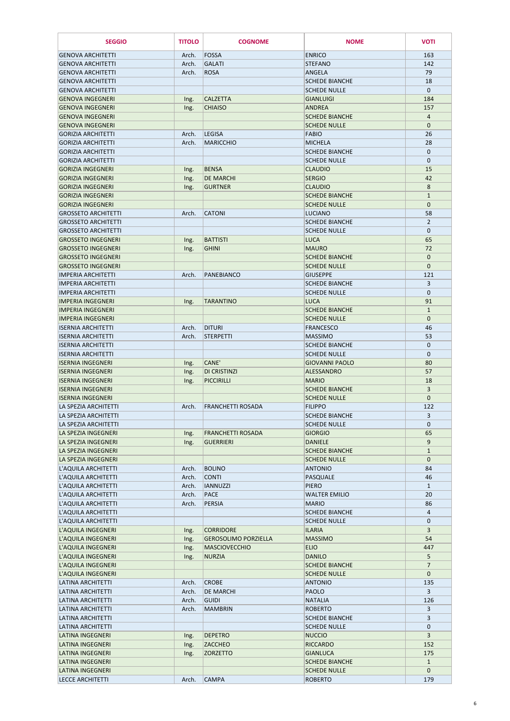| <b>SEGGIO</b>                                          | <b>TITOLO</b>  | <b>COGNOME</b>                    | <b>NOME</b>                                  | <b>VOTI</b>                    |
|--------------------------------------------------------|----------------|-----------------------------------|----------------------------------------------|--------------------------------|
| <b>GENOVA ARCHITETTI</b>                               | Arch.          | FOSSA                             | <b>ENRICO</b>                                | 163                            |
| <b>GENOVA ARCHITETTI</b>                               | Arch.          | <b>GALATI</b>                     | <b>STEFANO</b>                               | 142                            |
| <b>GENOVA ARCHITETTI</b>                               | Arch.          | <b>ROSA</b>                       | <b>ANGELA</b>                                | 79                             |
| <b>GENOVA ARCHITETTI</b>                               |                |                                   | <b>SCHEDE BIANCHE</b>                        | 18                             |
| <b>GENOVA ARCHITETTI</b>                               |                |                                   | <b>SCHEDE NULLE</b>                          | $\mathbf{0}$                   |
| <b>GENOVA INGEGNERI</b>                                | Ing.           | <b>CALZETTA</b>                   | <b>GIANLUIGI</b>                             | 184                            |
| <b>GENOVA INGEGNERI</b>                                | Ing.           | <b>CHIAISO</b>                    | <b>ANDREA</b>                                | 157                            |
| <b>GENOVA INGEGNERI</b>                                |                |                                   | <b>SCHEDE BIANCHE</b>                        | $\overline{a}$                 |
| <b>GENOVA INGEGNERI</b>                                |                |                                   | <b>SCHEDE NULLE</b>                          | $\mathbf{0}$                   |
| <b>GORIZIA ARCHITETTI</b><br><b>GORIZIA ARCHITETTI</b> | Arch.<br>Arch. | <b>LEGISA</b><br><b>MARICCHIO</b> | <b>FABIO</b><br><b>MICHELA</b>               | 26<br>28                       |
| <b>GORIZIA ARCHITETTI</b>                              |                |                                   | <b>SCHEDE BIANCHE</b>                        | $\mathbf 0$                    |
| <b>GORIZIA ARCHITETTI</b>                              |                |                                   | <b>SCHEDE NULLE</b>                          | $\mathbf{0}$                   |
| <b>GORIZIA INGEGNERI</b>                               | Ing.           | <b>BENSA</b>                      | <b>CLAUDIO</b>                               | 15                             |
| <b>GORIZIA INGEGNERI</b>                               | Ing.           | <b>DE MARCHI</b>                  | <b>SERGIO</b>                                | 42                             |
| <b>GORIZIA INGEGNERI</b>                               | Ing.           | <b>GURTNER</b>                    | <b>CLAUDIO</b>                               | 8                              |
| <b>GORIZIA INGEGNERI</b>                               |                |                                   | <b>SCHEDE BIANCHE</b>                        | $\mathbf{1}$                   |
| <b>GORIZIA INGEGNERI</b>                               |                |                                   | <b>SCHEDE NULLE</b>                          | $\mathbf{0}$                   |
| <b>GROSSETO ARCHITETTI</b>                             | Arch.          | <b>CATONI</b>                     | <b>LUCIANO</b>                               | 58                             |
| <b>GROSSETO ARCHITETTI</b>                             |                |                                   | <b>SCHEDE BIANCHE</b>                        | $\overline{2}$                 |
| <b>GROSSETO ARCHITETTI</b>                             |                |                                   | <b>SCHEDE NULLE</b>                          | $\mathbf{0}$                   |
| <b>GROSSETO INGEGNERI</b>                              | Ing.           | <b>BATTISTI</b>                   | <b>LUCA</b>                                  | 65                             |
| <b>GROSSETO INGEGNERI</b>                              | Ing.           | <b>GHINI</b>                      | <b>MAURO</b>                                 | 72                             |
| <b>GROSSETO INGEGNERI</b>                              |                |                                   | <b>SCHEDE BIANCHE</b>                        | $\mathbf{0}$                   |
| <b>GROSSETO INGEGNERI</b><br><b>IMPERIA ARCHITETTI</b> | Arch.          | PANEBIANCO                        | <b>SCHEDE NULLE</b><br><b>GIUSEPPE</b>       | $\mathbf{0}$<br>121            |
| <b>IMPERIA ARCHITETTI</b>                              |                |                                   | <b>SCHEDE BIANCHE</b>                        | 3                              |
| <b>IMPERIA ARCHITETTI</b>                              |                |                                   | <b>SCHEDE NULLE</b>                          | $\mathbf 0$                    |
| <b>IMPERIA INGEGNERI</b>                               | Ing.           | <b>TARANTINO</b>                  | <b>LUCA</b>                                  | 91                             |
| <b>IMPERIA INGEGNERI</b>                               |                |                                   | <b>SCHEDE BIANCHE</b>                        | $\mathbf{1}$                   |
| <b>IMPERIA INGEGNERI</b>                               |                |                                   | <b>SCHEDE NULLE</b>                          | $\mathbf{0}$                   |
| <b>ISERNIA ARCHITETTI</b>                              | Arch.          | <b>DITURI</b>                     | <b>FRANCESCO</b>                             | 46                             |
| <b>ISERNIA ARCHITETTI</b>                              | Arch.          | <b>STERPETTI</b>                  | <b>MASSIMO</b>                               | 53                             |
| <b>ISERNIA ARCHITETTI</b>                              |                |                                   | <b>SCHEDE BIANCHE</b>                        | $\mathbf{0}$                   |
| <b>ISERNIA ARCHITETTI</b>                              |                |                                   | <b>SCHEDE NULLE</b>                          | $\mathbf 0$                    |
| <b>ISERNIA INGEGNERI</b>                               | Ing.           | CANE'                             | <b>GIOVANNI PAOLO</b>                        | 80                             |
| <b>ISERNIA INGEGNERI</b>                               | Ing.           | <b>DI CRISTINZI</b>               | <b>ALESSANDRO</b>                            | 57                             |
| <b>ISERNIA INGEGNERI</b>                               | Ing.           | PICCIRILLI                        | <b>MARIO</b>                                 | 18                             |
| <b>ISERNIA INGEGNERI</b><br><b>ISERNIA INGEGNERI</b>   |                |                                   | <b>SCHEDE BIANCHE</b><br><b>SCHEDE NULLE</b> | $\overline{3}$<br>$\mathbf{0}$ |
| LA SPEZIA ARCHITETTI                                   | Arch.          | <b>FRANCHETTI ROSADA</b>          | <b>FILIPPO</b>                               | 122                            |
| LA SPEZIA ARCHITETTI                                   |                |                                   | <b>SCHEDE BIANCHE</b>                        | 3                              |
| LA SPEZIA ARCHITETTI                                   |                |                                   | <b>SCHEDE NULLE</b>                          | $\mathbf 0$                    |
| LA SPEZIA INGEGNERI                                    | Ing.           | <b>FRANCHETTI ROSADA</b>          | <b>GIORGIO</b>                               | 65                             |
| LA SPEZIA INGEGNERI                                    | Ing.           | <b>GUERRIERI</b>                  | <b>DANIELE</b>                               | $\overline{9}$                 |
| LA SPEZIA INGEGNERI                                    |                |                                   | <b>SCHEDE BIANCHE</b>                        | $\mathbf{1}$                   |
| LA SPEZIA INGEGNERI                                    |                |                                   | <b>SCHEDE NULLE</b>                          | $\mathbf{0}$                   |
| L'AQUILA ARCHITETTI                                    | Arch.          | <b>BOLINO</b>                     | <b>ANTONIO</b>                               | 84                             |
| L'AQUILA ARCHITETTI                                    | Arch.          | <b>CONTI</b>                      | <b>PASQUALE</b>                              | 46                             |
| L'AQUILA ARCHITETTI                                    | Arch.          | <b>IANNUZZI</b>                   | <b>PIERO</b>                                 | $\mathbf{1}$                   |
| L'AQUILA ARCHITETTI<br>L'AQUILA ARCHITETTI             | Arch.<br>Arch. | PACE<br><b>PERSIA</b>             | <b>WALTER EMILIO</b><br><b>MARIO</b>         | 20<br>86                       |
| L'AQUILA ARCHITETTI                                    |                |                                   | <b>SCHEDE BIANCHE</b>                        | $\overline{4}$                 |
| L'AQUILA ARCHITETTI                                    |                |                                   | <b>SCHEDE NULLE</b>                          | $\mathbf 0$                    |
| L'AQUILA INGEGNERI                                     | Ing.           | <b>CORRIDORE</b>                  | <b>ILARIA</b>                                | 3                              |
| L'AQUILA INGEGNERI                                     | Ing.           | <b>GEROSOLIMO PORZIELLA</b>       | <b>MASSIMO</b>                               | 54                             |
| L'AQUILA INGEGNERI                                     | Ing.           | <b>MASCIOVECCHIO</b>              | <b>ELIO</b>                                  | 447                            |
| L'AQUILA INGEGNERI                                     | Ing.           | <b>NURZIA</b>                     | <b>DANILO</b>                                | 5                              |
| L'AQUILA INGEGNERI                                     |                |                                   | <b>SCHEDE BIANCHE</b>                        | $\overline{7}$                 |
| L'AQUILA INGEGNERI                                     |                |                                   | <b>SCHEDE NULLE</b>                          | $\mathbf{0}$                   |
| <b>LATINA ARCHITETTI</b>                               | Arch.          | <b>CROBE</b>                      | <b>ANTONIO</b>                               | 135                            |
| <b>LATINA ARCHITETTI</b>                               | Arch.          | <b>DE MARCHI</b>                  | <b>PAOLO</b>                                 | 3                              |
| LATINA ARCHITETTI                                      | Arch.          | <b>GUIDI</b>                      | <b>NATALIA</b><br><b>ROBERTO</b>             | 126                            |
| LATINA ARCHITETTI<br><b>LATINA ARCHITETTI</b>          | Arch.          | <b>MAMBRIN</b>                    | <b>SCHEDE BIANCHE</b>                        | $\overline{3}$<br>3            |
| <b>LATINA ARCHITETTI</b>                               |                |                                   | <b>SCHEDE NULLE</b>                          | $\mathbf{0}$                   |
| <b>LATINA INGEGNERI</b>                                | Ing.           | <b>DEPETRO</b>                    | <b>NUCCIO</b>                                | $\overline{3}$                 |
| LATINA INGEGNERI                                       | Ing.           | <b>ZACCHEO</b>                    | <b>RICCARDO</b>                              | 152                            |
| <b>LATINA INGEGNERI</b>                                | Ing.           | <b>ZORZETTO</b>                   | <b>GIANLUCA</b>                              | 175                            |
| <b>LATINA INGEGNERI</b>                                |                |                                   | <b>SCHEDE BIANCHE</b>                        | $\mathbf{1}$                   |
| LATINA INGEGNERI                                       |                |                                   | <b>SCHEDE NULLE</b>                          | $\mathbf{0}$                   |
| <b>LECCE ARCHITETTI</b>                                | Arch.          | <b>CAMPA</b>                      | <b>ROBERTO</b>                               | 179                            |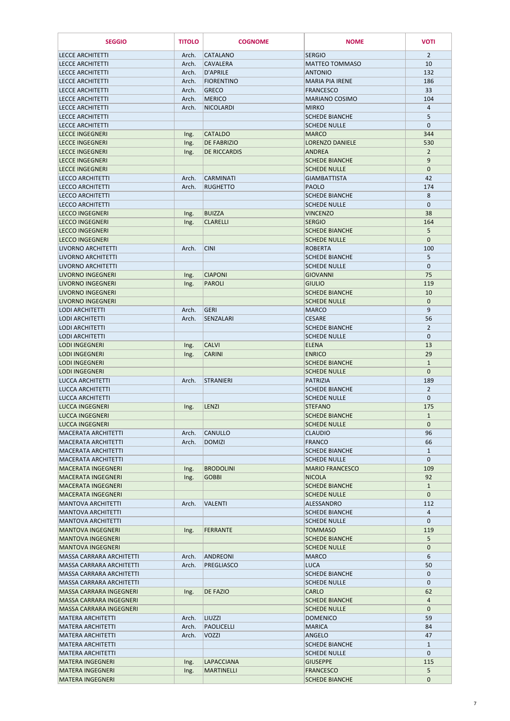| <b>SEGGIO</b>                                            | <b>TITOLO</b>  | <b>COGNOME</b>                     | <b>NOME</b>                                  | <b>VOTI</b>                 |
|----------------------------------------------------------|----------------|------------------------------------|----------------------------------------------|-----------------------------|
| <b>LECCE ARCHITETTI</b>                                  | Arch.          | <b>CATALANO</b>                    | <b>SERGIO</b>                                | $\overline{2}$              |
| <b>LECCE ARCHITETTI</b>                                  | Arch.          | <b>CAVALERA</b>                    | <b>MATTEO TOMMASO</b>                        | 10                          |
| <b>LECCE ARCHITETTI</b>                                  | Arch.          | D'APRILE                           | <b>ANTONIO</b>                               | 132                         |
| <b>LECCE ARCHITETTI</b>                                  | Arch.          | <b>FIORENTINO</b>                  | <b>MARIA PIA IRENE</b>                       | 186                         |
| <b>LECCE ARCHITETTI</b>                                  | Arch.          | <b>GRECO</b>                       | <b>FRANCESCO</b>                             | 33                          |
| <b>LECCE ARCHITETTI</b>                                  | Arch.          | <b>MERICO</b>                      | <b>MARIANO COSIMO</b>                        | 104                         |
| <b>LECCE ARCHITETTI</b>                                  | Arch.          | NICOLARDI                          | <b>MIRKO</b>                                 | $\overline{a}$              |
| <b>LECCE ARCHITETTI</b>                                  |                |                                    | <b>SCHEDE BIANCHE</b>                        | 5                           |
| <b>LECCE ARCHITETTI</b><br><b>LECCE INGEGNERI</b>        |                | <b>CATALDO</b>                     | <b>SCHEDE NULLE</b><br><b>MARCO</b>          | $\mathbf{0}$<br>344         |
| <b>LECCE INGEGNERI</b>                                   | Ing.<br>Ing.   | <b>DE FABRIZIO</b>                 | <b>LORENZO DANIELE</b>                       | 530                         |
| <b>LECCE INGEGNERI</b>                                   | Ing.           | <b>DE RICCARDIS</b>                | <b>ANDREA</b>                                | $\overline{2}$              |
| <b>LECCE INGEGNERI</b>                                   |                |                                    | <b>SCHEDE BIANCHE</b>                        | $\boldsymbol{9}$            |
| <b>LECCE INGEGNERI</b>                                   |                |                                    | <b>SCHEDE NULLE</b>                          | $\mathbf{0}$                |
| <b>LECCO ARCHITETTI</b>                                  | Arch.          | <b>CARMINATI</b>                   | <b>GIAMBATTISTA</b>                          | 42                          |
| <b>LECCO ARCHITETTI</b>                                  | Arch.          | <b>RUGHETTO</b>                    | <b>PAOLO</b>                                 | 174                         |
| <b>LECCO ARCHITETTI</b>                                  |                |                                    | <b>SCHEDE BIANCHE</b>                        | 8                           |
| <b>LECCO ARCHITETTI</b>                                  |                |                                    | <b>SCHEDE NULLE</b>                          | $\mathbf{0}$                |
| <b>LECCO INGEGNERI</b><br><b>LECCO INGEGNERI</b>         | Ing.<br>Ing.   | <b>BUIZZA</b><br><b>CLARELLI</b>   | <b>VINCENZO</b><br><b>SERGIO</b>             | 38<br>164                   |
| <b>LECCO INGEGNERI</b>                                   |                |                                    | <b>SCHEDE BIANCHE</b>                        | 5                           |
| <b>LECCO INGEGNERI</b>                                   |                |                                    | <b>SCHEDE NULLE</b>                          | $\mathbf{0}$                |
| LIVORNO ARCHITETTI                                       | Arch.          | <b>CINI</b>                        | <b>ROBERTA</b>                               | 100                         |
| LIVORNO ARCHITETTI                                       |                |                                    | <b>SCHEDE BIANCHE</b>                        | 5                           |
| LIVORNO ARCHITETTI                                       |                |                                    | <b>SCHEDE NULLE</b>                          | $\mathbf 0$                 |
| <b>LIVORNO INGEGNERI</b>                                 | Ing.           | <b>CIAPONI</b>                     | <b>GIOVANNI</b>                              | 75                          |
| <b>LIVORNO INGEGNERI</b>                                 | Ing.           | PAROLI                             | <b>GIULIO</b>                                | 119                         |
| <b>LIVORNO INGEGNERI</b><br><b>LIVORNO INGEGNERI</b>     |                |                                    | <b>SCHEDE BIANCHE</b><br><b>SCHEDE NULLE</b> | 10<br>$\mathbf{0}$          |
| LODI ARCHITETTI                                          | Arch.          | <b>GERI</b>                        | <b>MARCO</b>                                 | 9                           |
| <b>LODI ARCHITETTI</b>                                   | Arch.          | <b>SENZALARI</b>                   | <b>CESARE</b>                                | 56                          |
| <b>LODI ARCHITETTI</b>                                   |                |                                    | <b>SCHEDE BIANCHE</b>                        | $\overline{2}$              |
| <b>LODI ARCHITETTI</b>                                   |                |                                    | <b>SCHEDE NULLE</b>                          | $\mathbf 0$                 |
| <b>LODI INGEGNERI</b>                                    | Ing.           | <b>CALVI</b>                       | <b>ELENA</b>                                 | 13                          |
| <b>LODI INGEGNERI</b>                                    | Ing.           | <b>CARINI</b>                      | <b>ENRICO</b>                                | 29                          |
| <b>LODI INGEGNERI</b>                                    |                |                                    | <b>SCHEDE BIANCHE</b>                        | $\mathbf{1}$                |
| <b>LODI INGEGNERI</b><br><b>LUCCA ARCHITETTI</b>         | Arch.          | <b>STRANIERI</b>                   | <b>SCHEDE NULLE</b><br><b>PATRIZIA</b>       | $\mathbf{0}$<br>189         |
| LUCCA ARCHITETTI                                         |                |                                    | <b>SCHEDE BIANCHE</b>                        | $\overline{2}$              |
| LUCCA ARCHITETTI                                         |                |                                    | <b>SCHEDE NULLE</b>                          | $\mathbf 0$                 |
| <b>LUCCA INGEGNERI</b>                                   | Ing.           | <b>LENZI</b>                       | <b>STEFANO</b>                               | 175                         |
| <b>LUCCA INGEGNERI</b>                                   |                |                                    | <b>SCHEDE BIANCHE</b>                        | $\mathbf{1}$                |
| <b>LUCCA INGEGNERI</b>                                   |                |                                    | <b>SCHEDE NULLE</b>                          | $\mathbf{0}$                |
| <b>MACERATA ARCHITETTI</b>                               | Arch.          | <b>CANULLO</b>                     | <b>CLAUDIO</b>                               | 96                          |
| <b>MACERATA ARCHITETTI</b>                               | Arch.          | <b>DOMIZI</b>                      | <b>FRANCO</b>                                | 66                          |
| <b>MACERATA ARCHITETTI</b><br><b>MACERATA ARCHITETTI</b> |                |                                    | <b>SCHEDE BIANCHE</b><br><b>SCHEDE NULLE</b> | $\mathbf{1}$<br>$\mathbf 0$ |
| <b>MACERATA INGEGNERI</b>                                | Ing.           | <b>BRODOLINI</b>                   | <b>MARIO FRANCESCO</b>                       | 109                         |
| <b>MACERATA INGEGNERI</b>                                | Ing.           | <b>GOBBI</b>                       | <b>NICOLA</b>                                | 92                          |
| <b>MACERATA INGEGNERI</b>                                |                |                                    | <b>SCHEDE BIANCHE</b>                        | $\mathbf{1}$                |
| <b>MACERATA INGEGNERI</b>                                |                |                                    | <b>SCHEDE NULLE</b>                          | $\mathbf{0}$                |
| <b>MANTOVA ARCHITETTI</b>                                | Arch.          | VALENTI                            | ALESSANDRO                                   | 112                         |
| <b>MANTOVA ARCHITETTI</b>                                |                |                                    | <b>SCHEDE BIANCHE</b>                        | $\overline{4}$              |
| <b>MANTOVA ARCHITETTI</b>                                |                |                                    | <b>SCHEDE NULLE</b>                          | $\mathbf{0}$                |
| <b>MANTOVA INGEGNERI</b><br><b>MANTOVA INGEGNERI</b>     | Ing.           | FERRANTE                           | <b>TOMMASO</b><br><b>SCHEDE BIANCHE</b>      | 119<br>5                    |
| <b>MANTOVA INGEGNERI</b>                                 |                |                                    | <b>SCHEDE NULLE</b>                          | $\mathbf{0}$                |
| MASSA CARRARA ARCHITETTI                                 | Arch.          | <b>ANDREONI</b>                    | <b>MARCO</b>                                 | 6                           |
| MASSA CARRARA ARCHITETTI                                 | Arch.          | PREGLIASCO                         | <b>LUCA</b>                                  | 50                          |
| MASSA CARRARA ARCHITETTI                                 |                |                                    | <b>SCHEDE BIANCHE</b>                        | $\mathbf{0}$                |
| <b>MASSA CARRARA ARCHITETTI</b>                          |                |                                    | <b>SCHEDE NULLE</b>                          | $\mathbf 0$                 |
| <b>MASSA CARRARA INGEGNERI</b>                           | Ing.           | <b>DE FAZIO</b>                    | <b>CARLO</b>                                 | 62                          |
| MASSA CARRARA INGEGNERI                                  |                |                                    | <b>SCHEDE BIANCHE</b>                        | 4                           |
| MASSA CARRARA INGEGNERI                                  |                |                                    | <b>SCHEDE NULLE</b>                          | $\overline{0}$              |
| <b>MATERA ARCHITETTI</b><br><b>MATERA ARCHITETTI</b>     | Arch.<br>Arch. | <b>LIUZZI</b><br><b>PAOLICELLI</b> | <b>DOMENICO</b><br><b>MARICA</b>             | 59<br>84                    |
| <b>MATERA ARCHITETTI</b>                                 | Arch.          | <b>VOZZI</b>                       | <b>ANGELO</b>                                | 47                          |
| <b>MATERA ARCHITETTI</b>                                 |                |                                    | <b>SCHEDE BIANCHE</b>                        | $\mathbf{1}$                |
| <b>MATERA ARCHITETTI</b>                                 |                |                                    | <b>SCHEDE NULLE</b>                          | $\mathbf{0}$                |
| <b>MATERA INGEGNERI</b>                                  | Ing.           | <b>LAPACCIANA</b>                  | <b>GIUSEPPE</b>                              | 115                         |
| <b>MATERA INGEGNERI</b>                                  | Ing.           | <b>MARTINELLI</b>                  | <b>FRANCESCO</b>                             | 5                           |
| <b>MATERA INGEGNERI</b>                                  |                |                                    | <b>SCHEDE BIANCHE</b>                        | 0                           |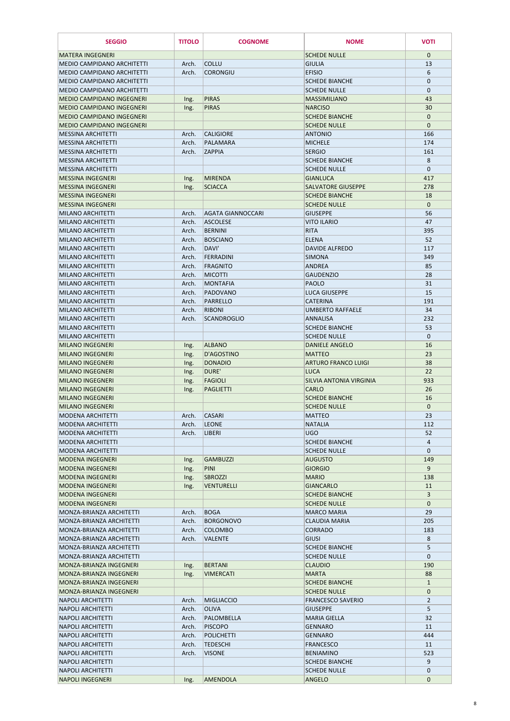| <b>SEGGIO</b>                                                        | <b>TITOLO</b>  | <b>COGNOME</b>                              | <b>NOME</b>                               | <b>VOTI</b>          |
|----------------------------------------------------------------------|----------------|---------------------------------------------|-------------------------------------------|----------------------|
| <b>MATERA INGEGNERI</b>                                              |                |                                             | <b>SCHEDE NULLE</b>                       | $\mathbf{0}$         |
| <b>MEDIO CAMPIDANO ARCHITETTI</b>                                    | Arch.          | <b>COLLU</b>                                | <b>GIULIA</b>                             | 13                   |
| <b>MEDIO CAMPIDANO ARCHITETTI</b>                                    | Arch.          | <b>CORONGIU</b>                             | <b>EFISIO</b>                             | 6                    |
| <b>MEDIO CAMPIDANO ARCHITETTI</b>                                    |                |                                             | <b>SCHEDE BIANCHE</b>                     | $\mathbf{0}$         |
| <b>MEDIO CAMPIDANO ARCHITETTI</b>                                    |                |                                             | <b>SCHEDE NULLE</b>                       | $\mathbf 0$          |
| <b>MEDIO CAMPIDANO INGEGNERI</b><br><b>MEDIO CAMPIDANO INGEGNERI</b> | Ing.           | <b>PIRAS</b><br><b>PIRAS</b>                | <b>MASSIMILIANO</b><br><b>NARCISO</b>     | 43<br>30             |
| <b>MEDIO CAMPIDANO INGEGNERI</b>                                     | Ing.           |                                             | <b>SCHEDE BIANCHE</b>                     | $\mathbf{0}$         |
| <b>MEDIO CAMPIDANO INGEGNERI</b>                                     |                |                                             | <b>SCHEDE NULLE</b>                       | $\boldsymbol{0}$     |
| <b>MESSINA ARCHITETTI</b>                                            | Arch.          | <b>CALIGIORE</b>                            | <b>ANTONIO</b>                            | 166                  |
| <b>MESSINA ARCHITETTI</b>                                            | Arch.          | PALAMARA                                    | <b>MICHELE</b>                            | 174                  |
| <b>MESSINA ARCHITETTI</b>                                            | Arch.          | <b>ZAPPIA</b>                               | <b>SERGIO</b>                             | 161                  |
| <b>MESSINA ARCHITETTI</b>                                            |                |                                             | <b>SCHEDE BIANCHE</b>                     | 8                    |
| <b>MESSINA ARCHITETTI</b>                                            |                |                                             | <b>SCHEDE NULLE</b>                       | $\mathbf{0}$         |
| <b>MESSINA INGEGNERI</b>                                             | Ing.           | <b>MIRENDA</b>                              | <b>GIANLUCA</b>                           | 417                  |
| <b>MESSINA INGEGNERI</b>                                             | Ing.           | <b>SCIACCA</b>                              | <b>SALVATORE GIUSEPPE</b>                 | 278                  |
| <b>MESSINA INGEGNERI</b>                                             |                |                                             | <b>SCHEDE BIANCHE</b>                     | 18                   |
| <b>MESSINA INGEGNERI</b>                                             |                |                                             | <b>SCHEDE NULLE</b>                       | $\mathbf{0}$         |
| <b>MILANO ARCHITETTI</b>                                             | Arch.          | <b>AGATA GIANNOCCARI</b><br><b>ASCOLESE</b> | <b>GIUSEPPE</b>                           | 56                   |
| <b>MILANO ARCHITETTI</b><br><b>MILANO ARCHITETTI</b>                 | Arch.<br>Arch. | <b>BERNINI</b>                              | <b>VITO ILARIO</b><br><b>RITA</b>         | 47<br>395            |
| <b>MILANO ARCHITETTI</b>                                             | Arch.          | <b>BOSCIANO</b>                             | <b>ELENA</b>                              | 52                   |
| <b>MILANO ARCHITETTI</b>                                             | Arch.          | DAVI'                                       | <b>DAVIDE ALFREDO</b>                     | 117                  |
| <b>MILANO ARCHITETTI</b>                                             | Arch.          | <b>FERRADINI</b>                            | <b>SIMONA</b>                             | 349                  |
| <b>MILANO ARCHITETTI</b>                                             | Arch.          | <b>FRAGNITO</b>                             | <b>ANDREA</b>                             | 85                   |
| <b>MILANO ARCHITETTI</b>                                             | Arch.          | <b>MICOTTI</b>                              | <b>GAUDENZIO</b>                          | 28                   |
| <b>MILANO ARCHITETTI</b>                                             | Arch.          | <b>MONTAFIA</b>                             | <b>PAOLO</b>                              | 31                   |
| <b>MILANO ARCHITETTI</b>                                             | Arch.          | PADOVANO                                    | <b>LUCA GIUSEPPE</b>                      | 15                   |
| <b>MILANO ARCHITETTI</b>                                             | Arch.          | PARRELLO                                    | <b>CATFRINA</b>                           | 191                  |
| <b>MILANO ARCHITETTI</b>                                             | Arch.          | RIBONI                                      | <b>UMBERTO RAFFAELE</b>                   | 34                   |
| <b>MILANO ARCHITETTI</b>                                             | Arch.          | <b>SCANDROGLIO</b>                          | ANNALISA                                  | 232                  |
| <b>MILANO ARCHITETTI</b>                                             |                |                                             | <b>SCHEDE BIANCHE</b>                     | 53                   |
| <b>MILANO ARCHITETTI</b>                                             |                |                                             | <b>SCHEDE NULLE</b>                       | $\mathbf{0}$         |
| <b>MILANO INGEGNERI</b>                                              | Ing.           | <b>ALBANO</b>                               | <b>DANIELE ANGELO</b>                     | 16                   |
| <b>MILANO INGEGNERI</b>                                              | Ing.           | D'AGOSTINO                                  | <b>MATTEO</b>                             | 23                   |
| <b>MILANO INGEGNERI</b><br><b>MILANO INGEGNERI</b>                   | Ing.           | <b>DONADIO</b><br>DURE'                     | <b>ARTURO FRANCO LUIGI</b><br><b>LUCA</b> | 38<br>22             |
| <b>MILANO INGEGNERI</b>                                              | Ing.<br>Ing.   | FAGIOLI                                     | SILVIA ANTONIA VIRGINIA                   | 933                  |
| <b>MILANO INGEGNERI</b>                                              | Ing.           | <b>PAGLIETTI</b>                            | <b>CARLO</b>                              | 26                   |
| <b>MILANO INGEGNERI</b>                                              |                |                                             | <b>SCHEDE BIANCHE</b>                     | 16                   |
| <b>MILANO INGEGNERI</b>                                              |                |                                             | <b>SCHEDE NULLE</b>                       | $\mathbf{0}$         |
| <b>MODENA ARCHITETTI</b>                                             | Arch.          | <b>CASARI</b>                               | <b>MATTEO</b>                             | 23                   |
| <b>MODENA ARCHITETTI</b>                                             | Arch.          | <b>LEONE</b>                                | <b>NATALIA</b>                            | 112                  |
| <b>MODENA ARCHITETTI</b>                                             | Arch.          | <b>LIBERI</b>                               | UGO                                       | 52                   |
| <b>MODENA ARCHITETTI</b>                                             |                |                                             | <b>SCHEDE BIANCHE</b>                     | 4                    |
| <b>MODENA ARCHITETTI</b>                                             |                |                                             | <b>SCHEDE NULLE</b>                       | $\mathbf{0}$         |
| <b>MODENA INGEGNERI</b>                                              | Ing.           | GAMBUZZI                                    | <b>AUGUSTO</b>                            | 149                  |
| <b>MODENA INGEGNERI</b>                                              | Ing.           | PINI                                        | <b>GIORGIO</b>                            | 9                    |
| <b>MODENA INGEGNERI</b>                                              | Ing.           | <b>SBROZZI</b>                              | <b>MARIO</b>                              | 138                  |
| <b>MODENA INGEGNERI</b><br><b>MODENA INGEGNERI</b>                   | Ing.           | VENTURELLI                                  | <b>GIANCARLO</b><br><b>SCHEDE BIANCHE</b> | 11<br>$\overline{3}$ |
| <b>MODENA INGEGNERI</b>                                              |                |                                             | <b>SCHEDE NULLE</b>                       | $\mathbf{0}$         |
| MONZA-BRIANZA ARCHITETTI                                             | Arch.          | <b>BOGA</b>                                 | <b>MARCO MARIA</b>                        | 29                   |
| MONZA-BRIANZA ARCHITETTI                                             | Arch.          | <b>BORGONOVO</b>                            | <b>CLAUDIA MARIA</b>                      | 205                  |
| MONZA-BRIANZA ARCHITETTI                                             | Arch.          | <b>COLOMBO</b>                              | <b>CORRADO</b>                            | 183                  |
| MONZA-BRIANZA ARCHITETTI                                             | Arch.          | <b>VALENTE</b>                              | <b>GIUSI</b>                              | 8                    |
| MONZA-BRIANZA ARCHITETTI                                             |                |                                             | <b>SCHEDE BIANCHE</b>                     | 5                    |
| MONZA-BRIANZA ARCHITETTI                                             |                |                                             | <b>SCHEDE NULLE</b>                       | $\mathbf{0}$         |
| MONZA-BRIANZA INGEGNERI                                              | Ing.           | <b>BERTANI</b>                              | <b>CLAUDIO</b>                            | 190                  |
| MONZA-BRIANZA INGEGNERI                                              | Ing.           | <b>VIMERCATI</b>                            | <b>MARTA</b>                              | 88                   |
| MONZA-BRIANZA INGEGNERI                                              |                |                                             | <b>SCHEDE BIANCHE</b>                     | $\mathbf{1}$         |
| MONZA-BRIANZA INGEGNERI                                              |                |                                             | <b>SCHEDE NULLE</b>                       | $\mathbf{0}$         |
| <b>NAPOLI ARCHITETTI</b>                                             | Arch.          | <b>MIGLIACCIO</b>                           | <b>FRANCESCO SAVERIO</b>                  | $\overline{2}$       |
| <b>NAPOLI ARCHITETTI</b><br><b>NAPOLI ARCHITETTI</b>                 | Arch.<br>Arch. | <b>OLIVA</b><br>PALOMBELLA                  | <b>GIUSEPPE</b><br><b>MARIA GIELLA</b>    | 5<br>32              |
| <b>NAPOLI ARCHITETTI</b>                                             | Arch.          | <b>PISCOPO</b>                              | <b>GENNARO</b>                            | 11                   |
| <b>NAPOLI ARCHITETTI</b>                                             | Arch.          | <b>POLICHETTI</b>                           | <b>GENNARO</b>                            | 444                  |
| <b>NAPOLI ARCHITETTI</b>                                             | Arch.          | <b>TEDESCHI</b>                             | <b>FRANCESCO</b>                          | 11                   |
| <b>NAPOLI ARCHITETTI</b>                                             | Arch.          | <b>VISONE</b>                               | <b>BENIAMINO</b>                          | 523                  |
| <b>NAPOLI ARCHITETTI</b>                                             |                |                                             | <b>SCHEDE BIANCHE</b>                     | 9                    |
| <b>NAPOLI ARCHITETTI</b>                                             |                |                                             | <b>SCHEDE NULLE</b>                       | $\mathbf{0}$         |
| <b>NAPOLI INGEGNERI</b>                                              | Ing.           | <b>AMENDOLA</b>                             | <b>ANGELO</b>                             | $\mathbf 0$          |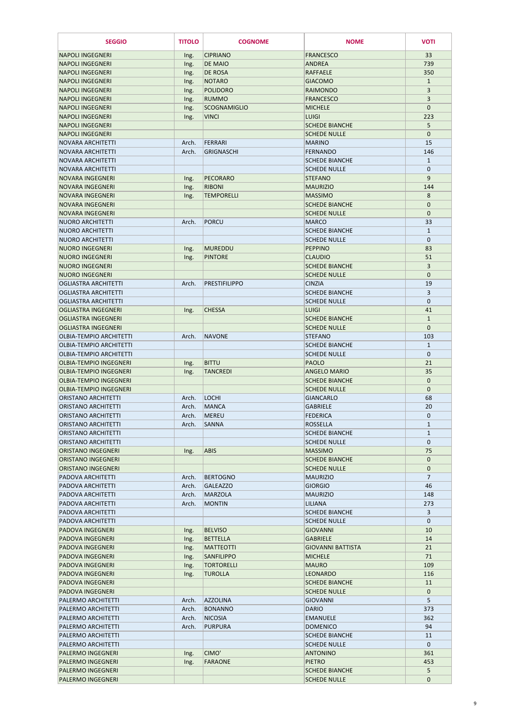| <b>SEGGIO</b>                                                  | <b>TITOLO</b>  | <b>COGNOME</b>                  | <b>NOME</b>                                  | <b>VOTI</b>                   |
|----------------------------------------------------------------|----------------|---------------------------------|----------------------------------------------|-------------------------------|
| <b>NAPOLI INGEGNERI</b>                                        | Ing.           | <b>CIPRIANO</b>                 | <b>FRANCESCO</b>                             | 33                            |
| <b>NAPOLI INGEGNERI</b>                                        | Ing.           | <b>DE MAIO</b>                  | <b>ANDREA</b>                                | 739                           |
| <b>NAPOLI INGEGNERI</b>                                        | Ing.           | <b>DE ROSA</b>                  | <b>RAFFAELE</b>                              | 350                           |
| <b>NAPOLI INGEGNERI</b>                                        | Ing.           | <b>NOTARO</b>                   | <b>GIACOMO</b>                               | $\mathbf{1}$                  |
| <b>NAPOLI INGEGNERI</b><br><b>NAPOLI INGEGNERI</b>             | Ing.<br>Ing.   | <b>POLIDORO</b><br><b>RUMMO</b> | <b>RAIMONDO</b><br><b>FRANCESCO</b>          | 3<br>3                        |
| <b>NAPOLI INGEGNERI</b>                                        | Ing.           | <b>SCOGNAMIGLIO</b>             | <b>MICHELE</b>                               | $\mathbf 0$                   |
| <b>NAPOLI INGEGNERI</b>                                        | Ing.           | <b>VINCI</b>                    | <b>LUIGI</b>                                 | 223                           |
| <b>NAPOLI INGEGNERI</b>                                        |                |                                 | <b>SCHEDE BIANCHE</b>                        | 5                             |
| <b>NAPOLI INGEGNERI</b>                                        |                |                                 | <b>SCHEDE NULLE</b>                          | $\mathbf{0}$                  |
| <b>NOVARA ARCHITETTI</b><br><b>NOVARA ARCHITETTI</b>           | Arch.<br>Arch. | FERRARI<br><b>GRIGNASCHI</b>    | <b>MARINO</b><br><b>FERNANDO</b>             | 15<br>146                     |
| <b>NOVARA ARCHITETTI</b>                                       |                |                                 | <b>SCHEDE BIANCHE</b>                        | $\mathbf{1}$                  |
| <b>NOVARA ARCHITETTI</b>                                       |                |                                 | <b>SCHEDE NULLE</b>                          | $\mathbf 0$                   |
| <b>NOVARA INGEGNERI</b>                                        | Ing.           | <b>PECORARO</b>                 | <b>STEFANO</b>                               | 9                             |
| <b>NOVARA INGEGNERI</b>                                        | Ing.           | <b>RIBONI</b>                   | <b>MAURIZIO</b>                              | 144                           |
| <b>NOVARA INGEGNERI</b><br><b>NOVARA INGEGNERI</b>             | Ing.           | <b>TEMPORELLI</b>               | <b>MASSIMO</b><br><b>SCHEDE BIANCHE</b>      | $\,8\,$<br>$\mathbf 0$        |
| <b>NOVARA INGEGNERI</b>                                        |                |                                 | <b>SCHEDE NULLE</b>                          | $\mathbf{0}$                  |
| <b>NUORO ARCHITETTI</b>                                        | Arch.          | <b>PORCU</b>                    | <b>MARCO</b>                                 | 33                            |
| <b>NUORO ARCHITETTI</b>                                        |                |                                 | <b>SCHEDE BIANCHE</b>                        | $\mathbf{1}$                  |
| <b>NUORO ARCHITETTI</b>                                        |                |                                 | <b>SCHEDE NULLE</b>                          | $\mathbf 0$                   |
| <b>NUORO INGEGNERI</b>                                         | Ing.           | <b>MUREDDU</b>                  | <b>PEPPINO</b>                               | 83                            |
| <b>NUORO INGEGNERI</b><br><b>NUORO INGEGNERI</b>               | Ing.           | <b>PINTORE</b>                  | <b>CLAUDIO</b><br><b>SCHEDE BIANCHE</b>      | 51<br>3                       |
| <b>NUORO INGEGNERI</b>                                         |                |                                 | <b>SCHEDE NULLE</b>                          | $\mathbf 0$                   |
| <b>OGLIASTRA ARCHITETTI</b>                                    | Arch.          | <b>PRESTIFILIPPO</b>            | <b>CINZIA</b>                                | 19                            |
| <b>OGLIASTRA ARCHITETTI</b>                                    |                |                                 | <b>SCHEDE BIANCHE</b>                        | 3                             |
| <b>OGLIASTRA ARCHITETTI</b>                                    |                |                                 | <b>SCHEDE NULLE</b>                          | $\pmb{0}$                     |
| OGLIASTRA INGEGNERI<br><b>OGLIASTRA INGEGNERI</b>              | Ing.           | <b>CHESSA</b>                   | <b>LUIGI</b><br><b>SCHEDE BIANCHE</b>        | 41<br>$\mathbf{1}$            |
| <b>OGLIASTRA INGEGNERI</b>                                     |                |                                 | <b>SCHEDE NULLE</b>                          | $\mathbf{0}$                  |
| <b>OLBIA-TEMPIO ARCHITETTI</b>                                 | Arch.          | <b>NAVONE</b>                   | <b>STEFANO</b>                               | 103                           |
| <b>OLBIA-TEMPIO ARCHITETTI</b>                                 |                |                                 | <b>SCHEDE BIANCHE</b>                        | $\mathbf{1}$                  |
| <b>OLBIA-TEMPIO ARCHITETTI</b>                                 |                |                                 | <b>SCHEDE NULLE</b>                          | $\mathbf 0$                   |
| <b>OLBIA-TEMPIO INGEGNERI</b><br><b>OLBIA-TEMPIO INGEGNERI</b> | Ing.           | <b>BITTU</b>                    | <b>PAOLO</b>                                 | 21<br>35                      |
| <b>OLBIA-TEMPIO INGEGNERI</b>                                  | Ing.           | <b>TANCREDI</b>                 | <b>ANGELO MARIO</b><br><b>SCHEDE BIANCHE</b> | $\mathbf{0}$                  |
| <b>OLBIA-TEMPIO INGEGNERI</b>                                  |                |                                 | <b>SCHEDE NULLE</b>                          | $\mathbf 0$                   |
| <b>ORISTANO ARCHITETTI</b>                                     | Arch.          | <b>LOCHI</b>                    | <b>GIANCARLO</b>                             | 68                            |
| <b>ORISTANO ARCHITETTI</b>                                     | Arch.          | <b>MANCA</b>                    | <b>GABRIELE</b>                              | 20                            |
| <b>ORISTANO ARCHITETTI</b>                                     | Arch.          | <b>MEREU</b>                    | <b>FEDERICA</b>                              | $\mathbf 0$                   |
| <b>ORISTANO ARCHITETTI</b><br><b>ORISTANO ARCHITETTI</b>       | Arch.          | <b>SANNA</b>                    | <b>ROSSELLA</b><br><b>SCHEDE BIANCHE</b>     | $\mathbf{1}$<br>$\mathbf{1}$  |
| <b>ORISTANO ARCHITETTI</b>                                     |                |                                 | <b>SCHEDE NULLE</b>                          | $\mathbf 0$                   |
| <b>ORISTANO INGEGNERI</b>                                      | Ing.           | <b>ABIS</b>                     | <b>MASSIMO</b>                               | 75                            |
| <b>ORISTANO INGEGNERI</b>                                      |                |                                 | <b>SCHEDE BIANCHE</b>                        | $\mathbf 0$                   |
| <b>ORISTANO INGEGNERI</b><br>PADOVA ARCHITETTI                 |                | <b>BERTOGNO</b>                 | <b>SCHEDE NULLE</b>                          | $\mathbf 0$<br>$\overline{7}$ |
| PADOVA ARCHITETTI                                              | Arch.<br>Arch. | <b>GALEAZZO</b>                 | <b>MAURIZIO</b><br><b>GIORGIO</b>            | 46                            |
| <b>PADOVA ARCHITETTI</b>                                       | Arch.          | <b>MARZOLA</b>                  | <b>MAURIZIO</b>                              | 148                           |
| PADOVA ARCHITETTI                                              | Arch.          | <b>MONTIN</b>                   | LILIANA                                      | 273                           |
| PADOVA ARCHITETTI                                              |                |                                 | <b>SCHEDE BIANCHE</b>                        | 3                             |
| PADOVA ARCHITETTI<br><b>PADOVA INGEGNERI</b>                   |                | <b>BELVISO</b>                  | <b>SCHEDE NULLE</b>                          | $\mathbf 0$                   |
| <b>PADOVA INGEGNERI</b>                                        | Ing.<br>Ing.   | <b>BETTELLA</b>                 | <b>GIOVANNI</b><br><b>GABRIELE</b>           | 10<br>14                      |
| <b>PADOVA INGEGNERI</b>                                        | Ing.           | <b>MATTEOTTI</b>                | <b>GIOVANNI BATTISTA</b>                     | 21                            |
| <b>PADOVA INGEGNERI</b>                                        | Ing.           | SANFILIPPO                      | <b>MICHELE</b>                               | 71                            |
| <b>PADOVA INGEGNERI</b>                                        | Ing.           | <b>TORTORELLI</b>               | <b>MAURO</b>                                 | 109                           |
| PADOVA INGEGNERI                                               | Ing.           | <b>TUROLLA</b>                  | <b>LEONARDO</b>                              | 116                           |
| <b>PADOVA INGEGNERI</b><br><b>PADOVA INGEGNERI</b>             |                |                                 | <b>SCHEDE BIANCHE</b><br><b>SCHEDE NULLE</b> | 11<br>$\mathbf{0}$            |
| <b>PALERMO ARCHITETTI</b>                                      | Arch.          | <b>AZZOLINA</b>                 | <b>GIOVANNI</b>                              | 5                             |
| <b>PALERMO ARCHITETTI</b>                                      | Arch.          | <b>BONANNO</b>                  | <b>DARIO</b>                                 | 373                           |
| <b>PALERMO ARCHITETTI</b>                                      | Arch.          | <b>NICOSIA</b>                  | <b>EMANUELE</b>                              | 362                           |
| PALERMO ARCHITETTI                                             | Arch.          | <b>PURPURA</b>                  | <b>DOMENICO</b>                              | 94                            |
| PALERMO ARCHITETTI<br><b>PALERMO ARCHITETTI</b>                |                |                                 | <b>SCHEDE BIANCHE</b><br><b>SCHEDE NULLE</b> | 11<br>$\mathbf{0}$            |
| <b>PALERMO INGEGNERI</b>                                       | Ing.           | CIMO'                           | <b>ANTONINO</b>                              | 361                           |
| <b>PALERMO INGEGNERI</b>                                       | Ing.           | <b>FARAONE</b>                  | <b>PIETRO</b>                                | 453                           |
| <b>PALERMO INGEGNERI</b>                                       |                |                                 | <b>SCHEDE BIANCHE</b>                        | 5                             |
| PALERMO INGEGNERI                                              |                |                                 | <b>SCHEDE NULLE</b>                          | $\pmb{0}$                     |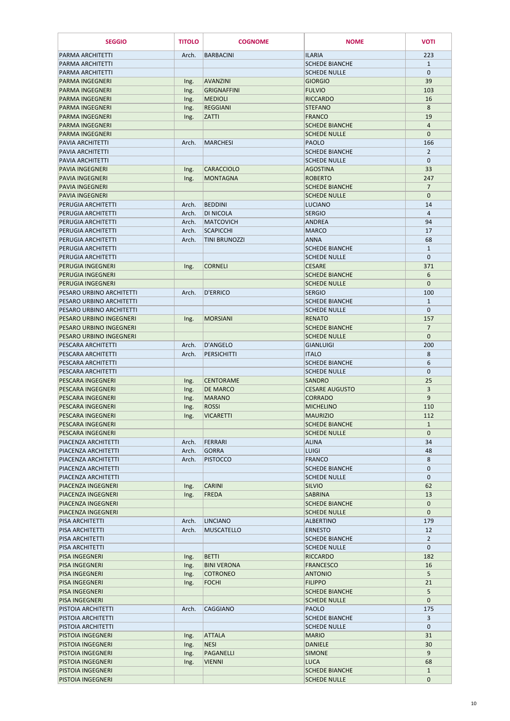| <b>SEGGIO</b>                                      | <b>TITOLO</b>  | <b>COGNOME</b>                       | <b>NOME</b>                              | <b>VOTI</b>           |
|----------------------------------------------------|----------------|--------------------------------------|------------------------------------------|-----------------------|
| PARMA ARCHITETTI                                   | Arch.          | <b>BARBACINI</b>                     | <b>ILARIA</b>                            | 223                   |
| PARMA ARCHITETTI                                   |                |                                      | <b>SCHEDE BIANCHE</b>                    | $\mathbf{1}$          |
| <b>PARMA ARCHITETTI</b>                            |                |                                      | <b>SCHEDE NULLE</b>                      | $\mathbf{0}$          |
| <b>PARMA INGEGNERI</b>                             | Ing.           | <b>AVANZINI</b>                      | <b>GIORGIO</b>                           | 39                    |
| <b>PARMA INGEGNERI</b>                             | Ing.           | <b>GRIGNAFFINI</b>                   | <b>FULVIO</b>                            | 103                   |
| <b>PARMA INGEGNERI</b>                             | Ing.           | <b>MEDIOLI</b>                       | <b>RICCARDO</b>                          | 16                    |
| <b>PARMA INGEGNERI</b><br><b>PARMA INGEGNERI</b>   | Ing.<br>Ing.   | <b>REGGIANI</b><br><b>ZATTI</b>      | <b>STEFANO</b><br><b>FRANCO</b>          | 8<br>19               |
| <b>PARMA INGEGNERI</b>                             |                |                                      | <b>SCHEDE BIANCHE</b>                    | 4                     |
| <b>PARMA INGEGNERI</b>                             |                |                                      | <b>SCHEDE NULLE</b>                      | $\mathbf{0}$          |
| PAVIA ARCHITETTI                                   | Arch.          | <b>MARCHESI</b>                      | PAOLO                                    | 166                   |
| PAVIA ARCHITETTI                                   |                |                                      | <b>SCHEDE BIANCHE</b>                    | $\overline{2}$        |
| PAVIA ARCHITETTI                                   |                |                                      | <b>SCHEDE NULLE</b>                      | $\mathbf 0$           |
| <b>PAVIA INGEGNERI</b>                             | Ing.           | <b>CARACCIOLO</b>                    | <b>AGOSTINA</b>                          | 33                    |
| <b>PAVIA INGEGNERI</b>                             | Ing.           | <b>MONTAGNA</b>                      | <b>ROBERTO</b>                           | 247                   |
| <b>PAVIA INGEGNERI</b>                             |                |                                      | <b>SCHEDE BIANCHE</b>                    | $\overline{7}$        |
| <b>PAVIA INGEGNERI</b>                             |                |                                      | <b>SCHEDE NULLE</b>                      | $\mathbf{0}$          |
| PERUGIA ARCHITETTI                                 | Arch.          | <b>BEDDINI</b>                       | LUCIANO                                  | 14                    |
| PERUGIA ARCHITETTI<br>PERUGIA ARCHITETTI           | Arch.<br>Arch. | DI NICOLA<br><b>MATCOVICH</b>        | <b>SERGIO</b><br><b>ANDREA</b>           | 4<br>94               |
| PERUGIA ARCHITETTI                                 | Arch.          | <b>SCAPICCHI</b>                     | <b>MARCO</b>                             | 17                    |
| PERUGIA ARCHITETTI                                 | Arch.          | <b>TINI BRUNOZZI</b>                 | <b>ANNA</b>                              | 68                    |
| PERUGIA ARCHITETTI                                 |                |                                      | <b>SCHEDE BIANCHE</b>                    | $\mathbf{1}$          |
| <b>PERUGIA ARCHITETTI</b>                          |                |                                      | <b>SCHEDE NULLE</b>                      | $\mathbf{0}$          |
| <b>PERUGIA INGEGNERI</b>                           | Ing.           | <b>CORNELI</b>                       | <b>CESARE</b>                            | 371                   |
| <b>PERUGIA INGEGNERI</b>                           |                |                                      | <b>SCHEDE BIANCHE</b>                    | 6                     |
| <b>PERUGIA INGEGNERI</b>                           |                |                                      | <b>SCHEDE NULLE</b>                      | $\mathbf 0$           |
| PESARO URBINO ARCHITETTI                           | Arch.          | <b>D'ERRICO</b>                      | <b>SERGIO</b>                            | 100                   |
| PESARO URBINO ARCHITETTI                           |                |                                      | <b>SCHEDE BIANCHE</b>                    | $\mathbf{1}$          |
| PESARO URBINO ARCHITETTI                           |                |                                      | <b>SCHEDE NULLE</b>                      | $\mathbf 0$           |
| PESARO URBINO INGEGNERI<br>PESARO URBINO INGEGNERI | Ing.           | <b>MORSIANI</b>                      | <b>RENATO</b><br><b>SCHEDE BIANCHE</b>   | 157<br>$\overline{7}$ |
| PESARO URBINO INGEGNERI                            |                |                                      | <b>SCHEDE NULLE</b>                      | $\mathbf{0}$          |
| PESCARA ARCHITETTI                                 | Arch.          | <b>D'ANGELO</b>                      | GIANLUIGI                                | 200                   |
| PESCARA ARCHITETTI                                 | Arch.          | <b>PERSICHITTI</b>                   | <b>ITALO</b>                             | 8                     |
| PESCARA ARCHITETTI                                 |                |                                      | <b>SCHEDE BIANCHE</b>                    | 6                     |
| PESCARA ARCHITETTI                                 |                |                                      | <b>SCHEDE NULLE</b>                      | $\mathbf 0$           |
| PESCARA INGEGNERI                                  | Ing.           | <b>CENTORAME</b>                     | SANDRO                                   | 25                    |
| PESCARA INGEGNERI                                  | Ing.           | <b>DE MARCO</b>                      | <b>CESARE AUGUSTO</b>                    | 3                     |
| PESCARA INGEGNERI                                  | Ing.           | <b>MARANO</b>                        | <b>CORRADO</b>                           | 9                     |
| <b>PESCARA INGEGNERI</b>                           | Ing.           | <b>ROSSI</b>                         | <b>MICHELINO</b>                         | 110                   |
| PESCARA INGEGNERI<br>PESCARA INGEGNERI             | Ing.           | <b>VICARETTI</b>                     | <b>MAURIZIO</b><br><b>SCHEDE BIANCHE</b> | 112<br>$\mathbf{1}$   |
| PESCARA INGEGNERI                                  |                |                                      | <b>SCHEDE NULLE</b>                      | $\mathbf 0$           |
| PIACENZA ARCHITETTI                                | Arch.          | FERRARI                              | <b>ALINA</b>                             | 34                    |
| PIACENZA ARCHITETTI                                | Arch.          | <b>GORRA</b>                         | <b>LUIGI</b>                             | 48                    |
| PIACENZA ARCHITETTI                                | Arch.          | <b>PISTOCCO</b>                      | FRANCO                                   | 8                     |
| PIACENZA ARCHITETTI                                |                |                                      | <b>SCHEDE BIANCHE</b>                    | $\mathbf 0$           |
| PIACENZA ARCHITETTI                                |                |                                      | <b>SCHEDE NULLE</b>                      | $\mathbf 0$           |
| PIACENZA INGEGNERI                                 | Ing.           | <b>CARINI</b>                        | <b>SILVIO</b>                            | 62                    |
| PIACENZA INGEGNERI                                 | Ing.           | <b>FREDA</b>                         | <b>SABRINA</b>                           | 13                    |
| PIACENZA INGEGNERI                                 |                |                                      | <b>SCHEDE BIANCHE</b>                    | $\mathbf 0$           |
| PIACENZA INGEGNERI                                 |                |                                      | <b>SCHEDE NULLE</b>                      | $\mathbf{0}$          |
| PISA ARCHITETTI<br>PISA ARCHITETTI                 | Arch.<br>Arch. | <b>LINCIANO</b><br><b>MUSCATELLO</b> | <b>ALBERTINO</b><br><b>ERNESTO</b>       | 179<br>12             |
| PISA ARCHITETTI                                    |                |                                      | <b>SCHEDE BIANCHE</b>                    | $\overline{2}$        |
| PISA ARCHITETTI                                    |                |                                      | <b>SCHEDE NULLE</b>                      | $\mathbf 0$           |
| <b>PISA INGEGNERI</b>                              | Ing.           | <b>BETTI</b>                         | <b>RICCARDO</b>                          | 182                   |
| <b>PISA INGEGNERI</b>                              | Ing.           | <b>BINI VERONA</b>                   | <b>FRANCESCO</b>                         | 16                    |
| PISA INGEGNERI                                     | Ing.           | <b>COTRONEO</b>                      | <b>ANTONIO</b>                           | 5                     |
| <b>PISA INGEGNERI</b>                              | Ing.           | <b>FOCHI</b>                         | <b>FILIPPO</b>                           | 21                    |
| <b>PISA INGEGNERI</b>                              |                |                                      | <b>SCHEDE BIANCHE</b>                    | 5                     |
| PISA INGEGNERI                                     |                |                                      | <b>SCHEDE NULLE</b>                      | $\mathbf 0$           |
| <b>PISTOIA ARCHITETTI</b>                          | Arch.          | <b>CAGGIANO</b>                      | <b>PAOLO</b>                             | 175                   |
| PISTOIA ARCHITETTI                                 |                |                                      | <b>SCHEDE BIANCHE</b>                    | $\overline{3}$        |
| PISTOIA ARCHITETTI<br>PISTOIA INGEGNERI            |                | <b>ATTALA</b>                        | <b>SCHEDE NULLE</b><br><b>MARIO</b>      | $\mathbf 0$           |
| PISTOIA INGEGNERI                                  | Ing.<br>Ing.   | <b>NESI</b>                          | <b>DANIELE</b>                           | 31<br>30              |
| <b>PISTOIA INGEGNERI</b>                           | Ing.           | PAGANELLI                            | <b>SIMONE</b>                            | 9                     |
| PISTOIA INGEGNERI                                  | Ing.           | <b>VIENNI</b>                        | <b>LUCA</b>                              | 68                    |
| <b>PISTOIA INGEGNERI</b>                           |                |                                      | <b>SCHEDE BIANCHE</b>                    | $\mathbf{1}$          |
| PISTOIA INGEGNERI                                  |                |                                      | <b>SCHEDE NULLE</b>                      | 0                     |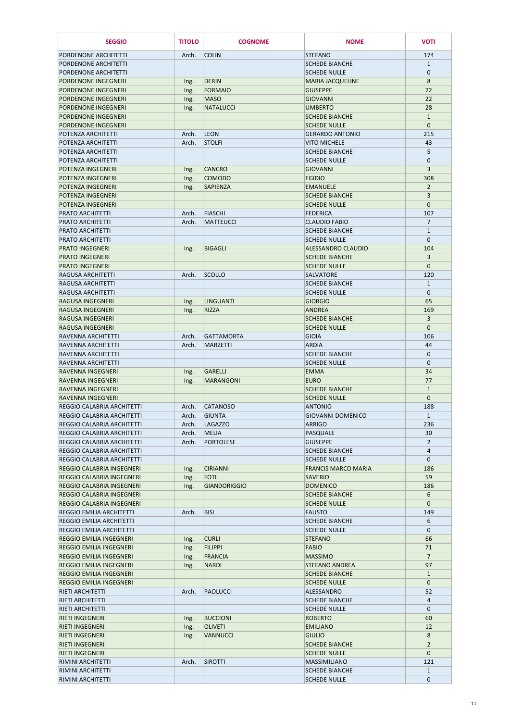| <b>SEGGIO</b>                                                    | <b>TITOLO</b>  | <b>COGNOME</b>                 | <b>NOME</b>                                   | <b>VOTI</b>          |
|------------------------------------------------------------------|----------------|--------------------------------|-----------------------------------------------|----------------------|
| PORDENONE ARCHITETTI                                             | Arch.          | <b>COLIN</b>                   | <b>STEFANO</b>                                | 174                  |
| PORDENONE ARCHITETTI                                             |                |                                | <b>SCHEDE BIANCHE</b>                         | $\mathbf{1}$         |
| PORDENONE ARCHITETTI                                             |                |                                | <b>SCHEDE NULLE</b>                           | $\mathbf{0}$         |
| PORDENONE INGEGNERI                                              | Ing.           | <b>DERIN</b>                   | <b>MARIA JACQUELINE</b>                       | 8                    |
| <b>PORDENONE INGEGNERI</b>                                       | Ing.           | <b>FORMAIO</b>                 | <b>GIUSEPPE</b>                               | 72                   |
| <b>PORDENONE INGEGNERI</b>                                       | Ing.           | <b>MASO</b>                    | <b>GIOVANNI</b>                               | 22                   |
| <b>PORDENONE INGEGNERI</b>                                       | Ing.           | <b>NATALUCCI</b>               | <b>UMBERTO</b>                                | 28                   |
| <b>PORDENONE INGEGNERI</b>                                       |                |                                | <b>SCHEDE BIANCHE</b>                         | $\mathbf{1}$         |
| PORDENONE INGEGNERI                                              |                |                                | <b>SCHEDE NULLE</b>                           | $\mathbf{0}$         |
| POTENZA ARCHITETTI<br>POTENZA ARCHITETTI                         | Arch.<br>Arch. | <b>LEON</b><br><b>STOLFI</b>   | <b>GERARDO ANTONIO</b><br><b>VITO MICHELE</b> | 215<br>43            |
| POTENZA ARCHITETTI                                               |                |                                | <b>SCHEDE BIANCHE</b>                         | 5                    |
| POTENZA ARCHITETTI                                               |                |                                | <b>SCHEDE NULLE</b>                           | $\mathbf{0}$         |
| POTENZA INGEGNERI                                                | Ing.           | <b>CANCRO</b>                  | <b>GIOVANNI</b>                               | 3                    |
| POTENZA INGEGNERI                                                | Ing.           | <b>COMODO</b>                  | <b>EGIDIO</b>                                 | 308                  |
| POTENZA INGEGNERI                                                | Ing.           | <b>SAPIENZA</b>                | <b>EMANUELE</b>                               | $\overline{2}$       |
| POTENZA INGEGNERI                                                |                |                                | <b>SCHEDE BIANCHE</b>                         | 3                    |
| POTENZA INGEGNERI                                                |                |                                | <b>SCHEDE NULLE</b>                           | $\mathbf 0$          |
| <b>PRATO ARCHITETTI</b>                                          | Arch.          | <b>FIASCHI</b>                 | <b>FEDERICA</b>                               | 107                  |
| <b>PRATO ARCHITETTI</b>                                          | Arch.          | MATTEUCCI                      | <b>CLAUDIO FABIO</b>                          | $\overline{7}$       |
| <b>PRATO ARCHITETTI</b>                                          |                |                                | <b>SCHEDE BIANCHE</b>                         | $\mathbf{1}$         |
| <b>PRATO ARCHITETTI</b>                                          |                |                                | <b>SCHEDE NULLE</b>                           | $\mathbf{0}$         |
| <b>PRATO INGEGNERI</b>                                           | Ing.           | <b>BIGAGLI</b>                 | <b>ALESSANDRO CLAUDIO</b>                     | 104                  |
| <b>PRATO INGEGNERI</b>                                           |                |                                | <b>SCHEDE BIANCHE</b>                         | $\overline{3}$       |
| <b>PRATO INGEGNERI</b>                                           |                |                                | <b>SCHEDE NULLE</b>                           | $\mathbf{0}$         |
| RAGUSA ARCHITETTI<br><b>RAGUSA ARCHITETTI</b>                    | Arch.          | <b>SCOLLO</b>                  | <b>SALVATORE</b><br><b>SCHEDE BIANCHE</b>     | 120<br>$\mathbf{1}$  |
| <b>RAGUSA ARCHITETTI</b>                                         |                |                                | <b>SCHEDE NULLE</b>                           | $\pmb{0}$            |
| <b>RAGUSA INGEGNERI</b>                                          | Ing.           | LINGUANTI                      | <b>GIORGIO</b>                                | 65                   |
| RAGUSA INGEGNERI                                                 | Ing.           | <b>RIZZA</b>                   | <b>ANDREA</b>                                 | 169                  |
| RAGUSA INGEGNERI                                                 |                |                                | <b>SCHEDE BIANCHE</b>                         | 3                    |
| <b>RAGUSA INGEGNERI</b>                                          |                |                                | <b>SCHEDE NULLE</b>                           | $\mathbf{0}$         |
| RAVENNA ARCHITETTI                                               | Arch.          | <b>GATTAMORTA</b>              | <b>GIOIA</b>                                  | 106                  |
| <b>RAVENNA ARCHITETTI</b>                                        | Arch.          | <b>MARZETTI</b>                | <b>ARDIA</b>                                  | 44                   |
| RAVENNA ARCHITETTI                                               |                |                                | <b>SCHEDE BIANCHE</b>                         | $\mathbf 0$          |
| RAVENNA ARCHITETTI                                               |                |                                | <b>SCHEDE NULLE</b>                           | $\mathbf 0$          |
| RAVENNA INGEGNERI                                                | Ing.           | <b>GARELLI</b>                 | <b>EMMA</b>                                   | 34                   |
| RAVENNA INGEGNERI                                                | Ing.           | <b>MARANGONI</b>               | <b>EURO</b>                                   | 77                   |
| RAVENNA INGEGNERI                                                |                |                                | <b>SCHEDE BIANCHE</b>                         | $\mathbf{1}$         |
| RAVENNA INGEGNERI                                                |                |                                | <b>SCHEDE NULLE</b>                           | $\mathbf{0}$         |
| <b>REGGIO CALABRIA ARCHITETTI</b>                                | Arch.          | <b>CATANOSO</b>                | <b>ANTONIO</b>                                | 188                  |
| REGGIO CALABRIA ARCHITETTI                                       | Arch.          | <b>GIUNTA</b>                  | <b>GIOVANNI DOMENICO</b>                      | $\mathbf{1}$         |
| <b>REGGIO CALABRIA ARCHITETTI</b><br>REGGIO CALABRIA ARCHITETTI  | Arch.<br>Arch. | <b>LAGAZZO</b><br><b>MELIA</b> | <b>ARRIGO</b><br>PASQUALE                     | 236<br>30            |
| REGGIO CALABRIA ARCHITETTI                                       | Arch.          | <b>PORTOLESE</b>               | <b>GIUSEPPE</b>                               | $\overline{2}$       |
| REGGIO CALABRIA ARCHITETTI                                       |                |                                | <b>SCHEDE BIANCHE</b>                         | 4                    |
| <b>REGGIO CALABRIA ARCHITETTI</b>                                |                |                                | <b>SCHEDE NULLE</b>                           | $\mathbf{0}$         |
| <b>REGGIO CALABRIA INGEGNERI</b>                                 | Ing.           | <b>CIRIANNI</b>                | <b>FRANCIS MARCO MARIA</b>                    | 186                  |
| <b>REGGIO CALABRIA INGEGNERI</b>                                 | Ing.           | <b>FOTI</b>                    | <b>SAVERIO</b>                                | 59                   |
| <b>REGGIO CALABRIA INGEGNERI</b>                                 | Ing.           | <b>GIANDORIGGIO</b>            | <b>DOMENICO</b>                               | 186                  |
| <b>REGGIO CALABRIA INGEGNERI</b>                                 |                |                                | <b>SCHEDE BIANCHE</b>                         | 6                    |
| <b>REGGIO CALABRIA INGEGNERI</b>                                 |                |                                | <b>SCHEDE NULLE</b>                           | $\mathbf{0}$         |
| <b>REGGIO EMILIA ARCHITETTI</b>                                  | Arch.          | <b>BISI</b>                    | <b>FAUSTO</b>                                 | 149                  |
| <b>REGGIO EMILIA ARCHITETTI</b>                                  |                |                                | <b>SCHEDE BIANCHE</b>                         | 6                    |
| <b>REGGIO EMILIA ARCHITETTI</b>                                  |                |                                | <b>SCHEDE NULLE</b>                           | $\mathbf{0}$         |
| <b>REGGIO EMILIA INGEGNERI</b>                                   | Ing.           | <b>CURLI</b>                   | <b>STEFANO</b>                                | 66                   |
| <b>REGGIO EMILIA INGEGNERI</b>                                   | Ing.           | <b>FILIPPI</b>                 | <b>FABIO</b>                                  | 71                   |
| <b>REGGIO EMILIA INGEGNERI</b><br><b>REGGIO EMILIA INGEGNERI</b> | Ing.           | <b>FRANCIA</b><br><b>NARDI</b> | <b>MASSIMO</b><br><b>STEFANO ANDREA</b>       | $\overline{7}$<br>97 |
| <b>REGGIO EMILIA INGEGNERI</b>                                   | Ing.           |                                | <b>SCHEDE BIANCHE</b>                         | $\mathbf{1}$         |
| <b>REGGIO EMILIA INGEGNERI</b>                                   |                |                                | <b>SCHEDE NULLE</b>                           | $\mathbf{0}$         |
| RIETI ARCHITETTI                                                 | Arch.          | <b>PAOLUCCI</b>                | ALESSANDRO                                    | 52                   |
| <b>RIETI ARCHITETTI</b>                                          |                |                                | <b>SCHEDE BIANCHE</b>                         | 4                    |
| RIETI ARCHITETTI                                                 |                |                                | <b>SCHEDE NULLE</b>                           | $\mathbf{0}$         |
| <b>RIETI INGEGNERI</b>                                           | Ing.           | <b>BUCCIONI</b>                | <b>ROBERTO</b>                                | 60                   |
| <b>RIETI INGEGNERI</b>                                           | Ing.           | <b>OLIVETI</b>                 | <b>EMILIANO</b>                               | 12                   |
| <b>RIETI INGEGNERI</b>                                           | Ing.           | <b>VANNUCCI</b>                | <b>GIULIO</b>                                 | 8                    |
| <b>RIETI INGEGNERI</b>                                           |                |                                | <b>SCHEDE BIANCHE</b>                         | $\overline{2}$       |
| <b>RIETI INGEGNERI</b>                                           |                |                                | <b>SCHEDE NULLE</b>                           | $\mathbf{0}$         |
| RIMINI ARCHITETTI                                                | Arch.          | <b>SIROTTI</b>                 | <b>MASSIMILIANO</b>                           | 121                  |
| RIMINI ARCHITETTI                                                |                |                                | <b>SCHEDE BIANCHE</b>                         | $\mathbf{1}$         |
| RIMINI ARCHITETTI                                                |                |                                | <b>SCHEDE NULLE</b>                           | $\mathbf{0}$         |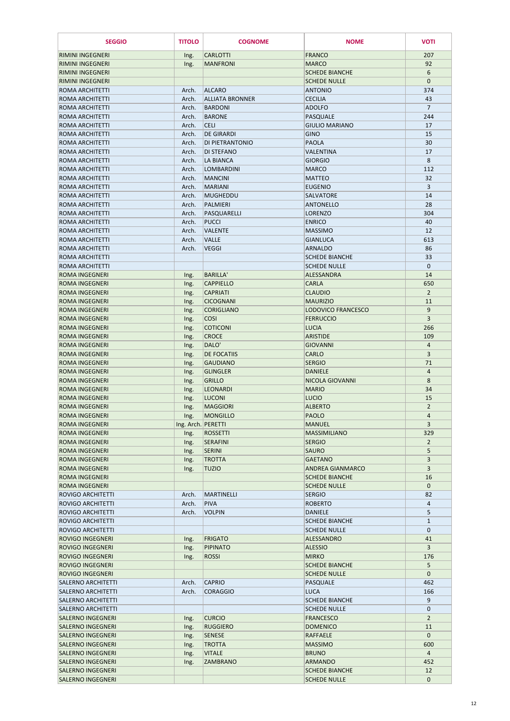| <b>SEGGIO</b>                                      | <b>TITOLO</b>              | <b>COGNOME</b>                              | <b>NOME</b>                         | <b>VOTI</b>                      |
|----------------------------------------------------|----------------------------|---------------------------------------------|-------------------------------------|----------------------------------|
| <b>RIMINI INGEGNERI</b>                            | Ing.                       | <b>CARLOTTI</b>                             | <b>FRANCO</b>                       | 207                              |
| <b>RIMINI INGEGNERI</b>                            | Ing.                       | <b>MANFRONI</b>                             | <b>MARCO</b>                        | 92                               |
| <b>RIMINI INGEGNERI</b>                            |                            |                                             | <b>SCHEDE BIANCHE</b>               | 6                                |
| <b>RIMINI INGEGNERI</b>                            |                            |                                             | <b>SCHEDE NULLE</b>                 | $\boldsymbol{0}$                 |
| <b>ROMA ARCHITETTI</b>                             | Arch.                      | <b>ALCARO</b>                               | <b>ANTONIO</b>                      | 374                              |
| <b>ROMA ARCHITETTI</b>                             | Arch.                      | <b>ALLIATA BRONNER</b>                      | <b>CECILIA</b>                      | 43                               |
| <b>ROMA ARCHITETTI</b>                             | Arch.                      | <b>BARDONI</b>                              | <b>ADOLFO</b>                       | $\overline{7}$                   |
| ROMA ARCHITETTI                                    | Arch.                      | <b>BARONE</b>                               | <b>PASQUALE</b>                     | 244                              |
| ROMA ARCHITETTI                                    | Arch.                      | <b>CELI</b>                                 | <b>GIULIO MARIANO</b>               | 17                               |
| <b>ROMA ARCHITETTI</b><br>ROMA ARCHITETTI          | Arch.<br>Arch.             | <b>DE GIRARDI</b><br><b>DI PIETRANTONIO</b> | <b>GINO</b><br><b>PAOLA</b>         | 15<br>30                         |
| <b>ROMA ARCHITETTI</b>                             | Arch.                      | <b>DI STEFANO</b>                           | VALENTINA                           | 17                               |
| ROMA ARCHITETTI                                    | Arch.                      | <b>LA BIANCA</b>                            | <b>GIORGIO</b>                      | 8                                |
| ROMA ARCHITETTI                                    | Arch.                      | <b>LOMBARDINI</b>                           | <b>MARCO</b>                        | 112                              |
| <b>ROMA ARCHITETTI</b>                             | Arch.                      | <b>MANCINI</b>                              | <b>MATTEO</b>                       | 32                               |
| ROMA ARCHITETTI                                    | Arch.                      | <b>MARIANI</b>                              | <b>EUGENIO</b>                      | 3                                |
| ROMA ARCHITETTI                                    | Arch.                      | <b>MUGHEDDU</b>                             | <b>SALVATORE</b>                    | 14                               |
| <b>ROMA ARCHITETTI</b>                             | Arch.                      | <b>PALMIERI</b>                             | <b>ANTONELLO</b>                    | 28                               |
| <b>ROMA ARCHITETTI</b>                             | Arch.                      | PASQUARELLI                                 | <b>LORENZO</b>                      | 304                              |
| <b>ROMA ARCHITETTI</b>                             | Arch.                      | <b>PUCCI</b>                                | <b>ENRICO</b>                       | 40                               |
| ROMA ARCHITETTI                                    | Arch.                      | <b>VALENTE</b>                              | <b>MASSIMO</b>                      | 12                               |
| <b>ROMA ARCHITETTI</b>                             | Arch.                      | <b>VALLE</b>                                | <b>GIANLUCA</b>                     | 613                              |
| <b>ROMA ARCHITETTI</b>                             | Arch.                      | <b>VEGGI</b>                                | <b>ARNALDO</b>                      | 86                               |
| <b>ROMA ARCHITETTI</b>                             |                            |                                             | <b>SCHEDE BIANCHE</b>               | 33                               |
| <b>ROMA ARCHITETTI</b><br><b>ROMA INGEGNERI</b>    |                            |                                             | <b>SCHEDE NULLE</b>                 | $\mathbf{0}$                     |
| <b>ROMA INGEGNERI</b>                              | Ing.                       | <b>BARILLA'</b><br><b>CAPPIELLO</b>         | ALESSANDRA<br><b>CARLA</b>          | 14<br>650                        |
| <b>ROMA INGEGNERI</b>                              | Ing.<br>Ing.               | <b>CAPRIATI</b>                             | <b>CLAUDIO</b>                      | $\overline{2}$                   |
| <b>ROMA INGEGNERI</b>                              | Ing.                       | <b>CICOGNANI</b>                            | <b>MAURIZIO</b>                     | 11                               |
| <b>ROMA INGEGNERI</b>                              | Ing.                       | <b>CORIGLIANO</b>                           | <b>LODOVICO FRANCESCO</b>           | $\overline{9}$                   |
| <b>ROMA INGEGNERI</b>                              | Ing.                       | <b>COSI</b>                                 | <b>FERRUCCIO</b>                    | 3                                |
| <b>ROMA INGEGNERI</b>                              | Ing.                       | <b>COTICONI</b>                             | <b>LUCIA</b>                        | 266                              |
| <b>ROMA INGEGNERI</b>                              | Ing.                       | <b>CROCE</b>                                | <b>ARISTIDE</b>                     | 109                              |
| <b>ROMA INGEGNERI</b>                              | Ing.                       | DALO'                                       | <b>GIOVANNI</b>                     | $\overline{a}$                   |
| <b>ROMA INGEGNERI</b>                              | Ing.                       | <b>DE FOCATIIS</b>                          | <b>CARLO</b>                        | 3                                |
| <b>ROMA INGEGNERI</b>                              | Ing.                       | <b>GAUDIANO</b>                             | <b>SERGIO</b>                       | 71                               |
| <b>ROMA INGEGNERI</b>                              | Ing.                       | <b>GLINGLER</b>                             | <b>DANIELE</b>                      | $\overline{4}$                   |
| <b>ROMA INGEGNERI</b>                              | Ing.                       | <b>GRILLO</b>                               | NICOLA GIOVANNI                     | 8                                |
| <b>ROMA INGEGNERI</b>                              | Ing.                       | <b>LEONARDI</b>                             | <b>MARIO</b>                        | 34                               |
| <b>ROMA INGEGNERI</b>                              | Ing.                       | <b>LUCONI</b>                               | <b>LUCIO</b>                        | 15                               |
| <b>ROMA INGEGNERI</b>                              | Ing.                       | <b>MAGGIORI</b><br><b>MONGILLO</b>          | <b>ALBERTO</b><br><b>PAOLO</b>      | $\overline{2}$<br>$\overline{4}$ |
| <b>ROMA INGEGNERI</b><br><b>ROMA INGEGNERI</b>     | Ing.<br>Ing. Arch. PERETTI |                                             | <b>MANUEL</b>                       | $\overline{3}$                   |
| <b>ROMA INGEGNERI</b>                              | Ing.                       | <b>ROSSETTI</b>                             | <b>MASSIMILIANO</b>                 | 329                              |
| <b>ROMA INGEGNERI</b>                              | Ing.                       | <b>SERAFINI</b>                             | <b>SERGIO</b>                       | $\overline{2}$                   |
| <b>ROMA INGEGNERI</b>                              | Ing.                       | <b>SERINI</b>                               | <b>SAURO</b>                        | 5                                |
| <b>ROMA INGEGNERI</b>                              | Ing.                       | <b>TROTTA</b>                               | <b>GAETANO</b>                      | $\overline{3}$                   |
| <b>ROMA INGEGNERI</b>                              | Ing.                       | <b>TUZIO</b>                                | <b>ANDREA GIANMARCO</b>             | 3                                |
| <b>ROMA INGEGNERI</b>                              |                            |                                             | <b>SCHEDE BIANCHE</b>               | 16                               |
| <b>ROMA INGEGNERI</b>                              |                            |                                             | <b>SCHEDE NULLE</b>                 | $\mathbf{0}$                     |
| <b>ROVIGO ARCHITETTI</b>                           | Arch.                      | <b>MARTINELLI</b>                           | <b>SERGIO</b>                       | 82                               |
| <b>ROVIGO ARCHITETTI</b>                           | Arch.                      | <b>PIVA</b>                                 | <b>ROBERTO</b>                      | 4                                |
| <b>ROVIGO ARCHITETTI</b>                           | Arch.                      | <b>VOLPIN</b>                               | <b>DANIELE</b>                      | 5                                |
| <b>ROVIGO ARCHITETTI</b>                           |                            |                                             | <b>SCHEDE BIANCHE</b>               | $\mathbf{1}$                     |
| <b>ROVIGO ARCHITETTI</b>                           |                            | <b>FRIGATO</b>                              | <b>SCHEDE NULLE</b>                 | $\mathbf{0}$                     |
| <b>ROVIGO INGEGNERI</b><br><b>ROVIGO INGEGNERI</b> | Ing.                       | <b>PIPINATO</b>                             | <b>ALESSANDRO</b><br><b>ALESSIO</b> | 41<br>3                          |
| <b>ROVIGO INGEGNERI</b>                            | Ing.<br>Ing.               | <b>ROSSI</b>                                | <b>MIRKO</b>                        | 176                              |
| <b>ROVIGO INGEGNERI</b>                            |                            |                                             | <b>SCHEDE BIANCHE</b>               | 5                                |
| <b>ROVIGO INGEGNERI</b>                            |                            |                                             | <b>SCHEDE NULLE</b>                 | $\mathbf{0}$                     |
| <b>SALERNO ARCHITETTI</b>                          | Arch.                      | <b>CAPRIO</b>                               | <b>PASQUALE</b>                     | 462                              |
| <b>SALERNO ARCHITETTI</b>                          | Arch.                      | <b>CORAGGIO</b>                             | <b>LUCA</b>                         | 166                              |
| <b>SALERNO ARCHITETTI</b>                          |                            |                                             | <b>SCHEDE BIANCHE</b>               | 9                                |
| <b>SALERNO ARCHITETTI</b>                          |                            |                                             | <b>SCHEDE NULLE</b>                 | $\mathbf 0$                      |
| <b>SALERNO INGEGNERI</b>                           | Ing.                       | <b>CURCIO</b>                               | <b>FRANCESCO</b>                    | $\overline{2}$                   |
| <b>SALERNO INGEGNERI</b>                           | Ing.                       | <b>RUGGIERO</b>                             | <b>DOMENICO</b>                     | 11                               |
| <b>SALERNO INGEGNERI</b>                           | Ing.                       | <b>SENESE</b>                               | RAFFAELE                            | $\mathbf{0}$                     |
| <b>SALERNO INGEGNERI</b>                           | Ing.                       | <b>TROTTA</b>                               | <b>MASSIMO</b>                      | 600                              |
| <b>SALERNO INGEGNERI</b>                           | Ing.                       | <b>VITALE</b>                               | <b>BRUNO</b>                        | $\overline{4}$                   |
| <b>SALERNO INGEGNERI</b>                           | Ing.                       | <b>ZAMBRANO</b>                             | <b>ARMANDO</b>                      | 452                              |
| <b>SALERNO INGEGNERI</b>                           |                            |                                             | <b>SCHEDE BIANCHE</b>               | 12                               |
| <b>SALERNO INGEGNERI</b>                           |                            |                                             | <b>SCHEDE NULLE</b>                 | $\mathbf{0}$                     |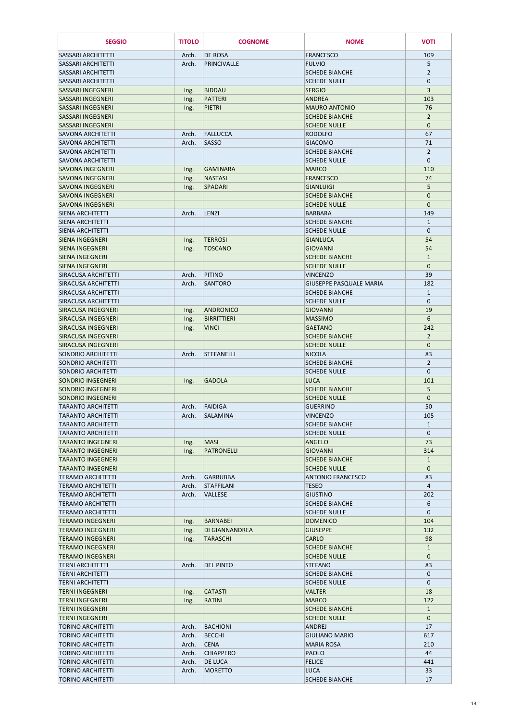| <b>SEGGIO</b>                                          | <b>TITOLO</b>  | <b>COGNOME</b>                     | <b>NOME</b>                                  | <b>VOTI</b>                  |
|--------------------------------------------------------|----------------|------------------------------------|----------------------------------------------|------------------------------|
| <b>SASSARI ARCHITETTI</b>                              | Arch.          | <b>DE ROSA</b>                     | <b>FRANCESCO</b>                             | 109                          |
| <b>SASSARI ARCHITETTI</b>                              | Arch.          | PRINCIVALLE                        | <b>FULVIO</b>                                | 5                            |
| <b>SASSARI ARCHITETTI</b>                              |                |                                    | <b>SCHEDE BIANCHE</b>                        | $\overline{2}$               |
| <b>SASSARI ARCHITETTI</b>                              |                |                                    | <b>SCHEDE NULLE</b>                          | $\mathbf{0}$                 |
| <b>SASSARI INGEGNERI</b><br><b>SASSARI INGEGNERI</b>   | Ing.<br>Ing.   | <b>BIDDAU</b><br>PATTERI           | <b>SERGIO</b><br><b>ANDREA</b>               | 3<br>103                     |
| <b>SASSARI INGEGNERI</b>                               | Ing.           | <b>PIETRI</b>                      | <b>MAURO ANTONIO</b>                         | 76                           |
| <b>SASSARI INGEGNERI</b>                               |                |                                    | <b>SCHEDE BIANCHE</b>                        | $\overline{2}$               |
| SASSARI INGEGNERI                                      |                |                                    | <b>SCHEDE NULLE</b>                          | $\mathbf 0$                  |
| <b>SAVONA ARCHITETTI</b>                               | Arch.          | <b>FALLUCCA</b>                    | <b>RODOLFO</b>                               | 67                           |
| <b>SAVONA ARCHITETTI</b><br><b>SAVONA ARCHITETTI</b>   | Arch.          | <b>SASSO</b>                       | <b>GIACOMO</b><br><b>SCHEDE BIANCHE</b>      | 71<br>$\overline{2}$         |
| <b>SAVONA ARCHITETTI</b>                               |                |                                    | <b>SCHEDE NULLE</b>                          | $\mathbf{0}$                 |
| <b>SAVONA INGEGNERI</b>                                | Ing.           | <b>GAMINARA</b>                    | <b>MARCO</b>                                 | 110                          |
| <b>SAVONA INGEGNERI</b>                                | Ing.           | <b>NASTASI</b>                     | <b>FRANCESCO</b>                             | 74                           |
| <b>SAVONA INGEGNERI</b>                                | Ing.           | SPADARI                            | <b>GIANLUIGI</b>                             | 5                            |
| <b>SAVONA INGEGNERI</b><br><b>SAVONA INGEGNERI</b>     |                |                                    | <b>SCHEDE BIANCHE</b><br><b>SCHEDE NULLE</b> | $\mathbf{0}$<br>$\mathbf{0}$ |
| SIENA ARCHITETTI                                       | Arch.          | <b>LENZI</b>                       | <b>BARBARA</b>                               | 149                          |
| SIENA ARCHITETTI                                       |                |                                    | <b>SCHEDE BIANCHE</b>                        | $\mathbf{1}$                 |
| SIENA ARCHITETTI                                       |                |                                    | <b>SCHEDE NULLE</b>                          | $\mathbf{0}$                 |
| <b>SIENA INGEGNERI</b>                                 | Ing.           | <b>TERROSI</b>                     | <b>GIANLUCA</b>                              | 54                           |
| <b>SIENA INGEGNERI</b>                                 | Ing.           | <b>TOSCANO</b>                     | <b>GIOVANNI</b>                              | 54                           |
| <b>SIENA INGEGNERI</b><br><b>SIENA INGEGNERI</b>       |                |                                    | <b>SCHEDE BIANCHE</b><br><b>SCHEDE NULLE</b> | $\mathbf{1}$<br>$\mathbf{0}$ |
| <b>SIRACUSA ARCHITETTI</b>                             | Arch.          | PITINO                             | <b>VINCENZO</b>                              | 39                           |
| SIRACUSA ARCHITETTI                                    | Arch.          | <b>SANTORO</b>                     | <b>GIUSEPPE PASQUALE MARIA</b>               | 182                          |
| SIRACUSA ARCHITETTI                                    |                |                                    | <b>SCHEDE BIANCHE</b>                        | 1                            |
| SIRACUSA ARCHITETTI                                    |                |                                    | <b>SCHEDE NULLE</b>                          | $\Omega$                     |
| SIRACUSA INGEGNERI                                     | Ing.           | ANDRONICO                          | <b>GIOVANNI</b>                              | 19                           |
| <b>SIRACUSA INGEGNERI</b><br><b>SIRACUSA INGEGNERI</b> | Ing.           | <b>BIRRITTIERI</b><br><b>VINCI</b> | <b>MASSIMO</b><br><b>GAETANO</b>             | 6<br>242                     |
| SIRACUSA INGEGNERI                                     | Ing.           |                                    | <b>SCHEDE BIANCHE</b>                        | $\overline{2}$               |
| SIRACUSA INGEGNERI                                     |                |                                    | <b>SCHEDE NULLE</b>                          | $\mathbf{0}$                 |
| <b>SONDRIO ARCHITETTI</b>                              | Arch.          | STEFANELLI                         | <b>NICOLA</b>                                | 83                           |
| <b>SONDRIO ARCHITETTI</b>                              |                |                                    | <b>SCHEDE BIANCHE</b>                        | $\overline{2}$               |
| SONDRIO ARCHITETTI                                     |                | <b>GADOLA</b>                      | <b>SCHEDE NULLE</b><br><b>LUCA</b>           | $\mathbf{0}$<br>101          |
| SONDRIO INGEGNERI<br><b>SONDRIO INGEGNERI</b>          | Ing.           |                                    | <b>SCHEDE BIANCHE</b>                        | 5                            |
| SONDRIO INGEGNERI                                      |                |                                    | <b>SCHEDE NULLE</b>                          | $\mathbf{0}$                 |
| <b>TARANTO ARCHITETTI</b>                              | Arch.          | FAIDIGA                            | <b>GUERRINO</b>                              | 50                           |
| <b>TARANTO ARCHITETTI</b>                              | Arch.          | <b>SALAMINA</b>                    | <b>VINCENZO</b>                              | 105                          |
| <b>TARANTO ARCHITETTI</b>                              |                |                                    | <b>SCHEDE BIANCHE</b>                        | $\mathbf{1}$                 |
| <b>TARANTO ARCHITETTI</b><br><b>TARANTO INGEGNERI</b>  | Ing.           | <b>MASI</b>                        | <b>SCHEDE NULLE</b><br><b>ANGELO</b>         | $\mathbf{0}$<br>73           |
| <b>TARANTO INGEGNERI</b>                               | Ing.           | <b>PATRONELLI</b>                  | <b>GIOVANNI</b>                              | 314                          |
| <b>TARANTO INGEGNERI</b>                               |                |                                    | <b>SCHEDE BIANCHE</b>                        | $\mathbf{1}$                 |
| <b>TARANTO INGEGNERI</b>                               |                |                                    | <b>SCHEDE NULLE</b>                          | $\mathbf{0}$                 |
| <b>TERAMO ARCHITETTI</b>                               | Arch.          | GARRUBBA                           | <b>ANTONIO FRANCESCO</b>                     | 83                           |
| <b>TERAMO ARCHITETTI</b><br><b>TERAMO ARCHITETTI</b>   | Arch.<br>Arch. | STAFFILANI<br><b>VALLESE</b>       | <b>TESEO</b><br><b>GIUSTINO</b>              | 4<br>202                     |
| <b>TERAMO ARCHITETTI</b>                               |                |                                    | <b>SCHEDE BIANCHE</b>                        | 6                            |
| <b>TERAMO ARCHITETTI</b>                               |                |                                    | <b>SCHEDE NULLE</b>                          | $\mathbf 0$                  |
| <b>TERAMO INGEGNERI</b>                                | Ing.           | BARNABEI                           | <b>DOMENICO</b>                              | 104                          |
| <b>TERAMO INGEGNERI</b>                                | Ing.           | DI GIANNANDREA                     | <b>GIUSEPPE</b>                              | 132                          |
| <b>TERAMO INGEGNERI</b>                                | Ing.           | <b>TARASCHI</b>                    | <b>CARLO</b>                                 | 98                           |
| <b>TERAMO INGEGNERI</b><br><b>TERAMO INGEGNERI</b>     |                |                                    | <b>SCHEDE BIANCHE</b><br><b>SCHEDE NULLE</b> | $\mathbf{1}$<br>$\mathbf{0}$ |
| <b>TERNI ARCHITETTI</b>                                | Arch.          | <b>DEL PINTO</b>                   | <b>STEFANO</b>                               | 83                           |
| <b>TERNI ARCHITETTI</b>                                |                |                                    | <b>SCHEDE BIANCHE</b>                        | $\mathbf 0$                  |
| <b>TERNI ARCHITETTI</b>                                |                |                                    | <b>SCHEDE NULLE</b>                          | $\mathbf{0}$                 |
| <b>TERNI INGEGNERI</b>                                 | Ing.           | <b>CATASTI</b>                     | <b>VALTER</b>                                | 18                           |
| <b>TERNI INGEGNERI</b><br><b>TERNI INGEGNERI</b>       | Ing.           | <b>RATINI</b>                      | <b>MARCO</b><br><b>SCHEDE BIANCHE</b>        | 122<br>$\mathbf{1}$          |
| <b>TERNI INGEGNERI</b>                                 |                |                                    | <b>SCHEDE NULLE</b>                          | $\mathbf{0}$                 |
| <b>TORINO ARCHITETTI</b>                               | Arch.          | <b>BACHIONI</b>                    | <b>ANDREJ</b>                                | 17                           |
| <b>TORINO ARCHITETTI</b>                               | Arch.          | <b>BECCHI</b>                      | <b>GIULIANO MARIO</b>                        | 617                          |
| TORINO ARCHITETTI                                      | Arch.          | <b>CENA</b>                        | <b>MARIA ROSA</b>                            | 210                          |
| <b>TORINO ARCHITETTI</b>                               | Arch.          | <b>CHIAPPERO</b>                   | <b>PAOLO</b>                                 | 44                           |
| <b>TORINO ARCHITETTI</b><br><b>TORINO ARCHITETTI</b>   | Arch.<br>Arch. | <b>DE LUCA</b><br><b>MORETTO</b>   | <b>FELICE</b><br><b>LUCA</b>                 | 441<br>33                    |
| <b>TORINO ARCHITETTI</b>                               |                |                                    | <b>SCHEDE BIANCHE</b>                        | 17                           |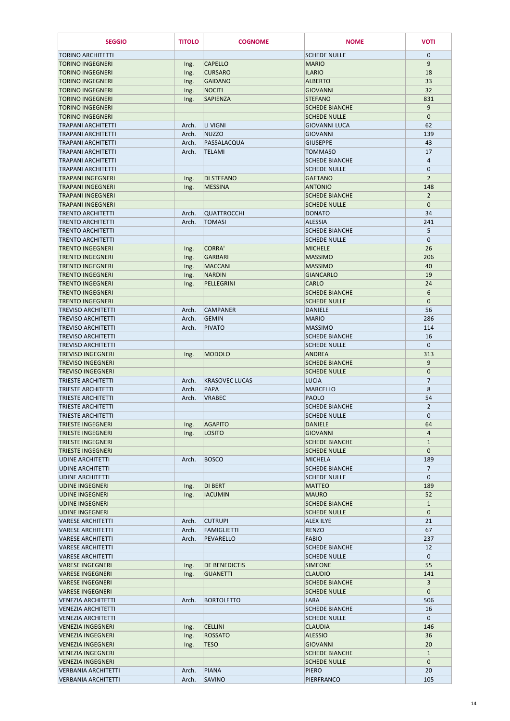| <b>SEGGIO</b>                                        | <b>TITOLO</b> | <b>COGNOME</b>        | <b>NOME</b>                                  | <b>VOTI</b>                    |
|------------------------------------------------------|---------------|-----------------------|----------------------------------------------|--------------------------------|
| <b>TORINO ARCHITETTI</b>                             |               |                       | <b>SCHEDE NULLE</b>                          | $\mathbf{0}$                   |
| <b>TORINO INGEGNERI</b>                              | Ing.          | <b>CAPELLO</b>        | <b>MARIO</b>                                 | $9$                            |
| <b>TORINO INGEGNERI</b>                              | Ing.          | <b>CURSARO</b>        | <b>ILARIO</b>                                | 18                             |
| <b>TORINO INGEGNERI</b>                              | Ing.          | <b>GAIDANO</b>        | <b>ALBERTO</b>                               | 33                             |
| <b>TORINO INGEGNERI</b>                              | Ing.          | <b>NOCITI</b>         | <b>GIOVANNI</b>                              | 32                             |
| <b>TORINO INGEGNERI</b>                              | Ing.          | <b>SAPIENZA</b>       | <b>STEFANO</b>                               | 831                            |
| <b>TORINO INGEGNERI</b><br><b>TORINO INGEGNERI</b>   |               |                       | <b>SCHEDE BIANCHE</b><br><b>SCHEDE NULLE</b> | 9<br>$\mathbf{0}$              |
| <b>TRAPANI ARCHITETTI</b>                            | Arch.         | <b>LI VIGNI</b>       | <b>GIOVANNI LUCA</b>                         | 62                             |
| <b>TRAPANI ARCHITETTI</b>                            | Arch.         | <b>NUZZO</b>          | <b>GIOVANNI</b>                              | 139                            |
| <b>TRAPANI ARCHITETTI</b>                            | Arch.         | PASSALACQUA           | <b>GIUSEPPE</b>                              | 43                             |
| <b>TRAPANI ARCHITETTI</b>                            | Arch.         | <b>TELAMI</b>         | <b>TOMMASO</b>                               | 17                             |
| <b>TRAPANI ARCHITETTI</b>                            |               |                       | <b>SCHEDE BIANCHE</b>                        | 4                              |
| <b>TRAPANI ARCHITETTI</b>                            |               |                       | <b>SCHEDE NULLE</b>                          | $\mathbf{0}$                   |
| <b>TRAPANI INGEGNERI</b>                             | Ing.          | <b>DI STEFANO</b>     | <b>GAETANO</b>                               | $\overline{2}$                 |
| <b>TRAPANI INGEGNERI</b>                             | Ing.          | <b>MESSINA</b>        | <b>ANTONIO</b>                               | 148                            |
| <b>TRAPANI INGEGNERI</b>                             |               |                       | <b>SCHEDE BIANCHE</b>                        | $\overline{2}$                 |
| <b>TRAPANI INGEGNERI</b>                             |               |                       | <b>SCHEDE NULLE</b>                          | $\mathbf{0}$                   |
| <b>TRENTO ARCHITETTI</b>                             | Arch.         | <b>QUATTROCCHI</b>    | <b>DONATO</b>                                | 34                             |
| <b>TRENTO ARCHITETTI</b><br><b>TRENTO ARCHITETTI</b> | Arch.         | <b>TOMASI</b>         | <b>ALESSIA</b><br><b>SCHEDE BIANCHE</b>      | 241<br>5                       |
| <b>TRENTO ARCHITETTI</b>                             |               |                       | <b>SCHEDE NULLE</b>                          | $\mathbf{0}$                   |
| <b>TRENTO INGEGNERI</b>                              | Ing.          | <b>CORRA'</b>         | <b>MICHELE</b>                               | 26                             |
| <b>TRENTO INGEGNERI</b>                              | Ing.          | <b>GARBARI</b>        | <b>MASSIMO</b>                               | 206                            |
| <b>TRENTO INGEGNERI</b>                              | Ing.          | <b>MACCANI</b>        | <b>MASSIMO</b>                               | 40                             |
| <b>TRENTO INGEGNERI</b>                              | Ing.          | <b>NARDIN</b>         | <b>GIANCARLO</b>                             | 19                             |
| <b>TRENTO INGEGNERI</b>                              | Ing.          | PELLEGRINI            | <b>CARLO</b>                                 | 24                             |
| <b>TRENTO INGEGNERI</b>                              |               |                       | <b>SCHEDE BIANCHE</b>                        | 6                              |
| <b>TRENTO INGEGNERI</b>                              |               |                       | <b>SCHEDE NULLE</b>                          | $\mathbf{0}$                   |
| <b>TREVISO ARCHITETTI</b>                            | Arch.         | <b>CAMPANER</b>       | <b>DANIELE</b>                               | 56                             |
| <b>TREVISO ARCHITETTI</b>                            | Arch.         | <b>GEMIN</b>          | <b>MARIO</b>                                 | 286                            |
| <b>TREVISO ARCHITETTI</b>                            | Arch.         | <b>PIVATO</b>         | <b>MASSIMO</b>                               | 114                            |
| <b>TREVISO ARCHITETTI</b>                            |               |                       | <b>SCHEDE BIANCHE</b>                        | 16                             |
| <b>TREVISO ARCHITETTI</b>                            |               |                       | <b>SCHEDE NULLE</b>                          | $\mathbf 0$                    |
| <b>TREVISO INGEGNERI</b>                             | Ing.          | <b>MODOLO</b>         | <b>ANDREA</b>                                | 313                            |
| <b>TREVISO INGEGNERI</b><br><b>TREVISO INGEGNERI</b> |               |                       | <b>SCHEDE BIANCHE</b><br><b>SCHEDE NULLE</b> | 9<br>$\mathbf{0}$              |
| <b>TRIESTE ARCHITETTI</b>                            | Arch.         | <b>KRASOVEC LUCAS</b> | <b>LUCIA</b>                                 | $\overline{7}$                 |
| TRIESTE ARCHITETTI                                   | Arch.         | <b>PAPA</b>           | <b>MARCELLO</b>                              | 8                              |
| <b>TRIESTE ARCHITETTI</b>                            | Arch.         | <b>VRABEC</b>         | <b>PAOLO</b>                                 | 54                             |
| <b>TRIESTE ARCHITETTI</b>                            |               |                       | <b>SCHEDE BIANCHE</b>                        | $\overline{2}$                 |
| TRIESTE ARCHITETTI                                   |               |                       | <b>SCHEDE NULLE</b>                          | $\mathbf{0}$                   |
| <b>TRIESTE INGEGNERI</b>                             | Ing.          | <b>AGAPITO</b>        | <b>DANIELE</b>                               | 64                             |
| <b>TRIESTE INGEGNERI</b>                             | Ing.          | <b>LOSITO</b>         | <b>GIOVANNI</b>                              | 4                              |
| TRIESTE INGEGNERI                                    |               |                       | <b>SCHEDE BIANCHE</b>                        | $\mathbf{1}$                   |
| <b>TRIESTE INGEGNERI</b>                             |               |                       | <b>SCHEDE NULLE</b>                          | $\mathbf{0}$                   |
| UDINE ARCHITETTI                                     | Arch.         | <b>BOSCO</b>          | <b>MICHELA</b>                               | 189                            |
| <b>UDINE ARCHITETTI</b>                              |               |                       | <b>SCHEDE BIANCHE</b><br><b>SCHEDE NULLE</b> | $\overline{7}$<br>$\mathbf{0}$ |
| <b>UDINE ARCHITETTI</b><br><b>UDINE INGEGNERI</b>    |               | <b>DI BERT</b>        | <b>MATTEO</b>                                | 189                            |
| <b>UDINE INGEGNERI</b>                               | Ing.<br>Ing.  | <b>IACUMIN</b>        | <b>MAURO</b>                                 | 52                             |
| <b>UDINE INGEGNERI</b>                               |               |                       | <b>SCHEDE BIANCHE</b>                        | $\mathbf{1}$                   |
| <b>UDINE INGEGNERI</b>                               |               |                       | <b>SCHEDE NULLE</b>                          | $\mathbf{0}$                   |
| <b>VARESE ARCHITETTI</b>                             | Arch.         | <b>CUTRUPI</b>        | <b>ALEX ILYE</b>                             | 21                             |
| <b>VARESE ARCHITETTI</b>                             | Arch.         | <b>FAMIGLIETTI</b>    | <b>RENZO</b>                                 | 67                             |
| <b>VARESE ARCHITETTI</b>                             | Arch.         | PEVARELLO             | <b>FABIO</b>                                 | 237                            |
| <b>VARESE ARCHITETTI</b>                             |               |                       | <b>SCHEDE BIANCHE</b>                        | 12                             |
| <b>VARESE ARCHITETTI</b>                             |               |                       | <b>SCHEDE NULLE</b>                          | $\mathbf{0}$                   |
| <b>VARESE INGEGNERI</b>                              | Ing.          | <b>DE BENEDICTIS</b>  | <b>SIMEONE</b>                               | 55                             |
| <b>VARESE INGEGNERI</b>                              | Ing.          | <b>GUANETTI</b>       | <b>CLAUDIO</b>                               | 141                            |
| <b>VARESE INGEGNERI</b><br><b>VARESE INGEGNERI</b>   |               |                       | <b>SCHEDE BIANCHE</b><br><b>SCHEDE NULLE</b> | 3<br>$\mathbf{0}$              |
| <b>VENEZIA ARCHITETTI</b>                            | Arch.         | <b>BORTOLETTO</b>     | <b>LARA</b>                                  | 506                            |
| <b>VENEZIA ARCHITETTI</b>                            |               |                       | <b>SCHEDE BIANCHE</b>                        | 16                             |
| <b>VENEZIA ARCHITETTI</b>                            |               |                       | <b>SCHEDE NULLE</b>                          | $\mathbf{0}$                   |
| <b>VENEZIA INGEGNERI</b>                             | Ing.          | <b>CELLINI</b>        | <b>CLAUDIA</b>                               | 146                            |
| <b>VENEZIA INGEGNERI</b>                             | Ing.          | <b>ROSSATO</b>        | <b>ALESSIO</b>                               | 36                             |
| <b>VENEZIA INGEGNERI</b>                             | Ing.          | <b>TESO</b>           | <b>GIOVANNI</b>                              | 20                             |
| <b>VENEZIA INGEGNERI</b>                             |               |                       | <b>SCHEDE BIANCHE</b>                        | $\mathbf{1}$                   |
| <b>VENEZIA INGEGNERI</b>                             |               |                       | <b>SCHEDE NULLE</b>                          | $\mathbf{0}$                   |
| <b>VERBANIA ARCHITETTI</b>                           | Arch.         | <b>PIANA</b>          | <b>PIERO</b>                                 | 20                             |
| <b>VERBANIA ARCHITETTI</b>                           | Arch.         | <b>SAVINO</b>         | PIERFRANCO                                   | 105                            |